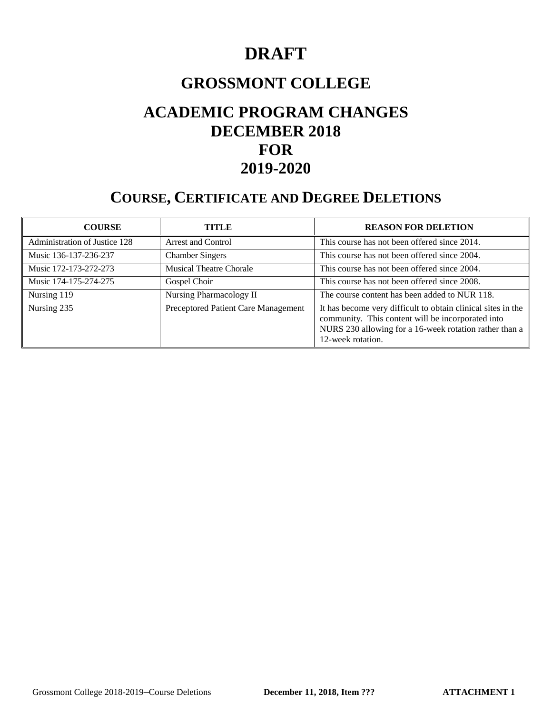# **DRAFT**

# **GROSSMONT COLLEGE**

# **ACADEMIC PROGRAM CHANGES DECEMBER 2018 FOR 2019-2020**

# **COURSE, CERTIFICATE AND DEGREE DELETIONS**

| <b>COURSE</b>                 | TITLE                               | <b>REASON FOR DELETION</b>                                                                                                                                                                       |
|-------------------------------|-------------------------------------|--------------------------------------------------------------------------------------------------------------------------------------------------------------------------------------------------|
| Administration of Justice 128 | Arrest and Control                  | This course has not been offered since 2014.                                                                                                                                                     |
| Music 136-137-236-237         | <b>Chamber Singers</b>              | This course has not been offered since 2004.                                                                                                                                                     |
| Music 172-173-272-273         | <b>Musical Theatre Chorale</b>      | This course has not been offered since 2004.                                                                                                                                                     |
| Music 174-175-274-275         | Gospel Choir                        | This course has not been offered since 2008.                                                                                                                                                     |
| Nursing 119                   | Nursing Pharmacology II             | The course content has been added to NUR 118.                                                                                                                                                    |
| Nursing 235                   | Preceptored Patient Care Management | It has become very difficult to obtain clinical sites in the<br>community. This content will be incorporated into<br>NURS 230 allowing for a 16-week rotation rather than a<br>12-week rotation. |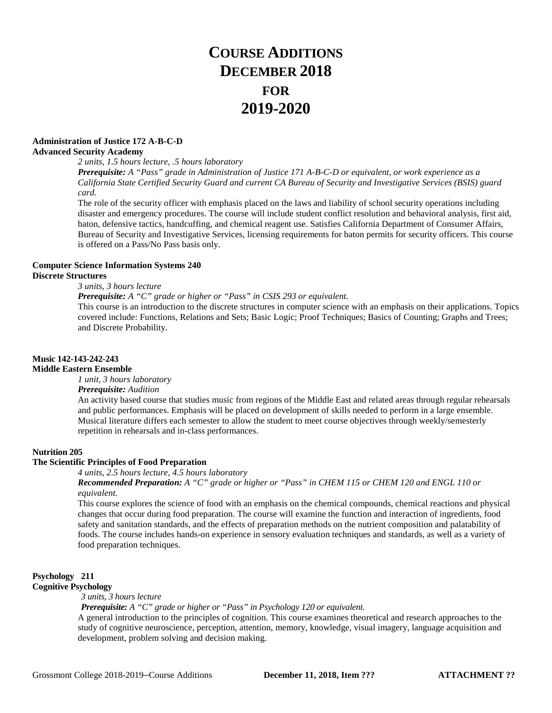# **COURSE ADDITIONS DECEMBER 2018 FOR 2019-2020**

# **Administration of Justice 172 A-B-C-D**

# **Advanced Security Academy**

*2 units, 1.5 hours lecture, .5 hours laboratory Prerequisite: A "Pass" grade in Administration of Justice 171 A-B-C-D or equivalent, or work experience as a California State Certified Security Guard and current CA Bureau of Security and Investigative Services (BSIS) guard card.*

The role of the security officer with emphasis placed on the laws and liability of school security operations including disaster and emergency procedures. The course will include student conflict resolution and behavioral analysis, first aid, baton, defensive tactics, handcuffing, and chemical reagent use. Satisfies California Department of Consumer Affairs, Bureau of Security and Investigative Services, licensing requirements for baton permits for security officers. This course is offered on a Pass/No Pass basis only.

### **Computer Science Information Systems 240 Discrete Structures**

### *3 units, 3 hours lecture*

*Prerequisite: A "C" grade or higher or "Pass" in CSIS 293 or equivalent.*

This course is an introduction to the discrete structures in computer science with an emphasis on their applications. Topics covered include: Functions, Relations and Sets; Basic Logic; Proof Techniques; Basics of Counting; Graphs and Trees; and Discrete Probability.

# **Music 142-143-242-243**

## **Middle Eastern Ensemble**

*1 unit, 3 hours laboratory*

### *Prerequisite: Audition*

An activity based course that studies music from regions of the Middle East and related areas through regular rehearsals and public performances. Emphasis will be placed on development of skills needed to perform in a large ensemble. Musical literature differs each semester to allow the student to meet course objectives through weekly/semesterly repetition in rehearsals and in-class performances.

### **Nutrition 205**

### **The Scientific Principles of Food Preparation**

### *4 units, 2.5 hours lecture, 4.5 hours laboratory*

*Recommended Preparation: A "C" grade or higher or "Pass" in CHEM 115 or CHEM 120 and ENGL 110 or equivalent.*

This course explores the science of food with an emphasis on the chemical compounds, chemical reactions and physical changes that occur during food preparation. The course will examine the function and interaction of ingredients, food safety and sanitation standards, and the effects of preparation methods on the nutrient composition and palatability of foods. The course includes hands-on experience in sensory evaluation techniques and standards, as well as a variety of food preparation techniques.

# **Psychology 211**

# **Cognitive Psychology**

*3 units, 3 hours lecture*

## *Prerequisite: A "C" grade or higher or "Pass" in Psychology 120 or equivalent.*

A general introduction to the principles of cognition. This course examines theoretical and research approaches to the study of cognitive neuroscience, perception, attention, memory, knowledge, visual imagery, language acquisition and development, problem solving and decision making.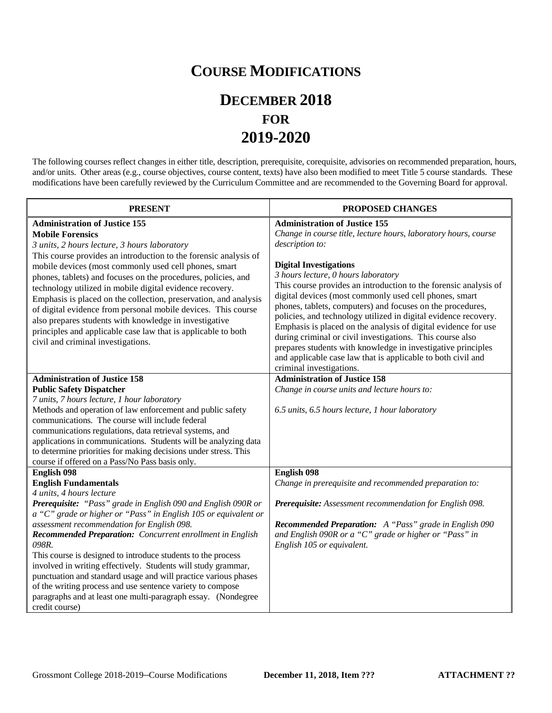# **COURSE MODIFICATIONS**

# **DECEMBER 2018 FOR 2019-2020**

The following courses reflect changes in either title, description, prerequisite, corequisite, advisories on recommended preparation, hours, and/or units. Other areas (e.g., course objectives, course content, texts) have also been modified to meet Title 5 course standards. These modifications have been carefully reviewed by the Curriculum Committee and are recommended to the Governing Board for approval.

| <b>PRESENT</b>                                                                                                                                                                                                                                                                                                                                                                                                                                                                                                                                                                                                                                                                      | PROPOSED CHANGES                                                                                                                                                                                                                                                                                                                                                                                                                                                                                                                                                                                                                                                                                                                                             |
|-------------------------------------------------------------------------------------------------------------------------------------------------------------------------------------------------------------------------------------------------------------------------------------------------------------------------------------------------------------------------------------------------------------------------------------------------------------------------------------------------------------------------------------------------------------------------------------------------------------------------------------------------------------------------------------|--------------------------------------------------------------------------------------------------------------------------------------------------------------------------------------------------------------------------------------------------------------------------------------------------------------------------------------------------------------------------------------------------------------------------------------------------------------------------------------------------------------------------------------------------------------------------------------------------------------------------------------------------------------------------------------------------------------------------------------------------------------|
| <b>Administration of Justice 155</b><br><b>Mobile Forensics</b><br>3 units, 2 hours lecture, 3 hours laboratory<br>This course provides an introduction to the forensic analysis of<br>mobile devices (most commonly used cell phones, smart<br>phones, tablets) and focuses on the procedures, policies, and<br>technology utilized in mobile digital evidence recovery.<br>Emphasis is placed on the collection, preservation, and analysis<br>of digital evidence from personal mobile devices. This course<br>also prepares students with knowledge in investigative<br>principles and applicable case law that is applicable to both<br>civil and criminal investigations.     | <b>Administration of Justice 155</b><br>Change in course title, lecture hours, laboratory hours, course<br>description to:<br><b>Digital Investigations</b><br>3 hours lecture, 0 hours laboratory<br>This course provides an introduction to the forensic analysis of<br>digital devices (most commonly used cell phones, smart<br>phones, tablets, computers) and focuses on the procedures,<br>policies, and technology utilized in digital evidence recovery.<br>Emphasis is placed on the analysis of digital evidence for use<br>during criminal or civil investigations. This course also<br>prepares students with knowledge in investigative principles<br>and applicable case law that is applicable to both civil and<br>criminal investigations. |
| <b>Administration of Justice 158</b><br><b>Public Safety Dispatcher</b><br>7 units, 7 hours lecture, 1 hour laboratory<br>Methods and operation of law enforcement and public safety<br>communications. The course will include federal<br>communications regulations, data retrieval systems, and<br>applications in communications. Students will be analyzing data<br>to determine priorities for making decisions under stress. This<br>course if offered on a Pass/No Pass basis only.                                                                                                                                                                                         | <b>Administration of Justice 158</b><br>Change in course units and lecture hours to:<br>6.5 units, 6.5 hours lecture, 1 hour laboratory                                                                                                                                                                                                                                                                                                                                                                                                                                                                                                                                                                                                                      |
| English 098<br><b>English Fundamentals</b><br>4 units, 4 hours lecture<br>Prerequisite: "Pass" grade in English 090 and English 090R or<br>a "C" grade or higher or "Pass" in English 105 or equivalent or<br>assessment recommendation for English 098.<br>Recommended Preparation: Concurrent enrollment in English<br>098R.<br>This course is designed to introduce students to the process<br>involved in writing effectively. Students will study grammar,<br>punctuation and standard usage and will practice various phases<br>of the writing process and use sentence variety to compose<br>paragraphs and at least one multi-paragraph essay. (Nondegree<br>credit course) | English 098<br>Change in prerequisite and recommended preparation to:<br>Prerequisite: Assessment recommendation for English 098.<br><b>Recommended Preparation:</b> A "Pass" grade in English 090<br>and English 090R or a "C" grade or higher or "Pass" in<br>English 105 or equivalent.                                                                                                                                                                                                                                                                                                                                                                                                                                                                   |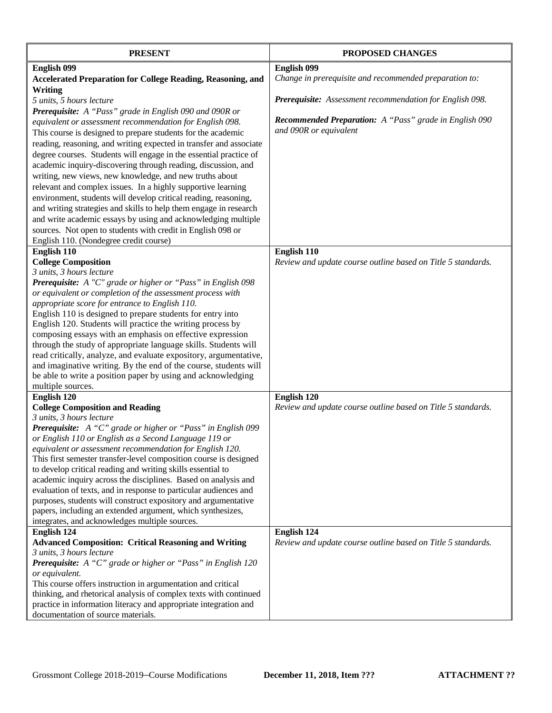| <b>PRESENT</b>                                                                                                                     | PROPOSED CHANGES                                             |
|------------------------------------------------------------------------------------------------------------------------------------|--------------------------------------------------------------|
| English 099                                                                                                                        | English 099                                                  |
| <b>Accelerated Preparation for College Reading, Reasoning, and</b>                                                                 | Change in prerequisite and recommended preparation to:       |
| <b>Writing</b>                                                                                                                     |                                                              |
| 5 units, 5 hours lecture                                                                                                           | Prerequisite: Assessment recommendation for English 098.     |
| Prerequisite: A "Pass" grade in English 090 and 090R or                                                                            |                                                              |
| equivalent or assessment recommendation for English 098.                                                                           | Recommended Preparation: A "Pass" grade in English 090       |
| This course is designed to prepare students for the academic                                                                       | and 090R or equivalent                                       |
| reading, reasoning, and writing expected in transfer and associate                                                                 |                                                              |
| degree courses. Students will engage in the essential practice of                                                                  |                                                              |
| academic inquiry-discovering through reading, discussion, and                                                                      |                                                              |
| writing, new views, new knowledge, and new truths about                                                                            |                                                              |
| relevant and complex issues. In a highly supportive learning                                                                       |                                                              |
| environment, students will develop critical reading, reasoning,                                                                    |                                                              |
| and writing strategies and skills to help them engage in research                                                                  |                                                              |
| and write academic essays by using and acknowledging multiple                                                                      |                                                              |
| sources. Not open to students with credit in English 098 or                                                                        |                                                              |
| English 110. (Nondegree credit course)                                                                                             |                                                              |
| English 110                                                                                                                        | English 110                                                  |
| <b>College Composition</b>                                                                                                         | Review and update course outline based on Title 5 standards. |
| 3 units, 3 hours lecture                                                                                                           |                                                              |
| <b>Prerequisite:</b> A "C" grade or higher or "Pass" in English 098                                                                |                                                              |
| or equivalent or completion of the assessment process with                                                                         |                                                              |
| appropriate score for entrance to English 110.                                                                                     |                                                              |
| English 110 is designed to prepare students for entry into                                                                         |                                                              |
| English 120. Students will practice the writing process by                                                                         |                                                              |
| composing essays with an emphasis on effective expression                                                                          |                                                              |
| through the study of appropriate language skills. Students will                                                                    |                                                              |
| read critically, analyze, and evaluate expository, argumentative,                                                                  |                                                              |
| and imaginative writing. By the end of the course, students will                                                                   |                                                              |
| be able to write a position paper by using and acknowledging                                                                       |                                                              |
| multiple sources.                                                                                                                  |                                                              |
| English 120                                                                                                                        | English 120                                                  |
| <b>College Composition and Reading</b>                                                                                             | Review and update course outline based on Title 5 standards. |
| 3 units, 3 hours lecture                                                                                                           |                                                              |
| Prerequisite: A "C" grade or higher or "Pass" in English 099                                                                       |                                                              |
| or English 110 or English as a Second Language 119 or                                                                              |                                                              |
| equivalent or assessment recommendation for English 120.                                                                           |                                                              |
| This first semester transfer-level composition course is designed                                                                  |                                                              |
| to develop critical reading and writing skills essential to                                                                        |                                                              |
| academic inquiry across the disciplines. Based on analysis and<br>evaluation of texts, and in response to particular audiences and |                                                              |
| purposes, students will construct expository and argumentative                                                                     |                                                              |
| papers, including an extended argument, which synthesizes,                                                                         |                                                              |
| integrates, and acknowledges multiple sources.                                                                                     |                                                              |
| English 124                                                                                                                        | English 124                                                  |
| <b>Advanced Composition: Critical Reasoning and Writing</b>                                                                        | Review and update course outline based on Title 5 standards. |
| 3 units, 3 hours lecture                                                                                                           |                                                              |
| Prerequisite: A "C" grade or higher or "Pass" in English 120                                                                       |                                                              |
| or equivalent.                                                                                                                     |                                                              |
| This course offers instruction in argumentation and critical                                                                       |                                                              |
| thinking, and rhetorical analysis of complex texts with continued                                                                  |                                                              |
| practice in information literacy and appropriate integration and                                                                   |                                                              |
| documentation of source materials.                                                                                                 |                                                              |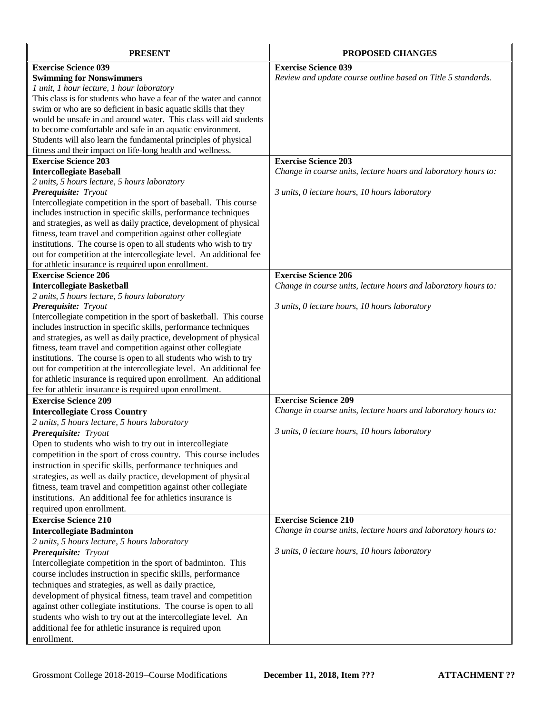| <b>PRESENT</b>                                                                                                                      | <b>PROPOSED CHANGES</b>                                        |
|-------------------------------------------------------------------------------------------------------------------------------------|----------------------------------------------------------------|
| <b>Exercise Science 039</b>                                                                                                         | <b>Exercise Science 039</b>                                    |
| <b>Swimming for Nonswimmers</b>                                                                                                     | Review and update course outline based on Title 5 standards.   |
| 1 unit, 1 hour lecture, 1 hour laboratory                                                                                           |                                                                |
| This class is for students who have a fear of the water and cannot                                                                  |                                                                |
| swim or who are so deficient in basic aquatic skills that they                                                                      |                                                                |
| would be unsafe in and around water. This class will aid students                                                                   |                                                                |
| to become comfortable and safe in an aquatic environment.                                                                           |                                                                |
| Students will also learn the fundamental principles of physical                                                                     |                                                                |
| fitness and their impact on life-long health and wellness.                                                                          |                                                                |
| <b>Exercise Science 203</b>                                                                                                         | <b>Exercise Science 203</b>                                    |
| <b>Intercollegiate Baseball</b>                                                                                                     | Change in course units, lecture hours and laboratory hours to: |
| 2 units, 5 hours lecture, 5 hours laboratory                                                                                        |                                                                |
| Prerequisite: Tryout                                                                                                                | 3 units, 0 lecture hours, 10 hours laboratory                  |
| Intercollegiate competition in the sport of baseball. This course                                                                   |                                                                |
| includes instruction in specific skills, performance techniques                                                                     |                                                                |
| and strategies, as well as daily practice, development of physical<br>fitness, team travel and competition against other collegiate |                                                                |
| institutions. The course is open to all students who wish to try                                                                    |                                                                |
| out for competition at the intercollegiate level. An additional fee                                                                 |                                                                |
| for athletic insurance is required upon enrollment.                                                                                 |                                                                |
| <b>Exercise Science 206</b>                                                                                                         | <b>Exercise Science 206</b>                                    |
| <b>Intercollegiate Basketball</b>                                                                                                   | Change in course units, lecture hours and laboratory hours to: |
| 2 units, 5 hours lecture, 5 hours laboratory                                                                                        |                                                                |
| Prerequisite: Tryout                                                                                                                | 3 units, 0 lecture hours, 10 hours laboratory                  |
| Intercollegiate competition in the sport of basketball. This course                                                                 |                                                                |
| includes instruction in specific skills, performance techniques                                                                     |                                                                |
| and strategies, as well as daily practice, development of physical                                                                  |                                                                |
| fitness, team travel and competition against other collegiate                                                                       |                                                                |
| institutions. The course is open to all students who wish to try                                                                    |                                                                |
| out for competition at the intercollegiate level. An additional fee                                                                 |                                                                |
| for athletic insurance is required upon enrollment. An additional                                                                   |                                                                |
| fee for athletic insurance is required upon enrollment.                                                                             |                                                                |
| <b>Exercise Science 209</b>                                                                                                         | <b>Exercise Science 209</b>                                    |
| <b>Intercollegiate Cross Country</b>                                                                                                | Change in course units, lecture hours and laboratory hours to: |
| 2 units, 5 hours lecture, 5 hours laboratory                                                                                        |                                                                |
| Prerequisite: Tryout                                                                                                                | 3 units, 0 lecture hours, 10 hours laboratory                  |
| Open to students who wish to try out in intercollegiate                                                                             |                                                                |
| competition in the sport of cross country. This course includes                                                                     |                                                                |
| instruction in specific skills, performance techniques and                                                                          |                                                                |
| strategies, as well as daily practice, development of physical                                                                      |                                                                |
| fitness, team travel and competition against other collegiate                                                                       |                                                                |
| institutions. An additional fee for athletics insurance is                                                                          |                                                                |
| required upon enrollment.                                                                                                           |                                                                |
| <b>Exercise Science 210</b>                                                                                                         | <b>Exercise Science 210</b>                                    |
| <b>Intercollegiate Badminton</b>                                                                                                    | Change in course units, lecture hours and laboratory hours to: |
| 2 units, 5 hours lecture, 5 hours laboratory                                                                                        |                                                                |
| Prerequisite: Tryout                                                                                                                | 3 units, 0 lecture hours, 10 hours laboratory                  |
| Intercollegiate competition in the sport of badminton. This                                                                         |                                                                |
| course includes instruction in specific skills, performance                                                                         |                                                                |
| techniques and strategies, as well as daily practice,                                                                               |                                                                |
| development of physical fitness, team travel and competition                                                                        |                                                                |
| against other collegiate institutions. The course is open to all                                                                    |                                                                |
| students who wish to try out at the intercollegiate level. An                                                                       |                                                                |
| additional fee for athletic insurance is required upon                                                                              |                                                                |
| enrollment.                                                                                                                         |                                                                |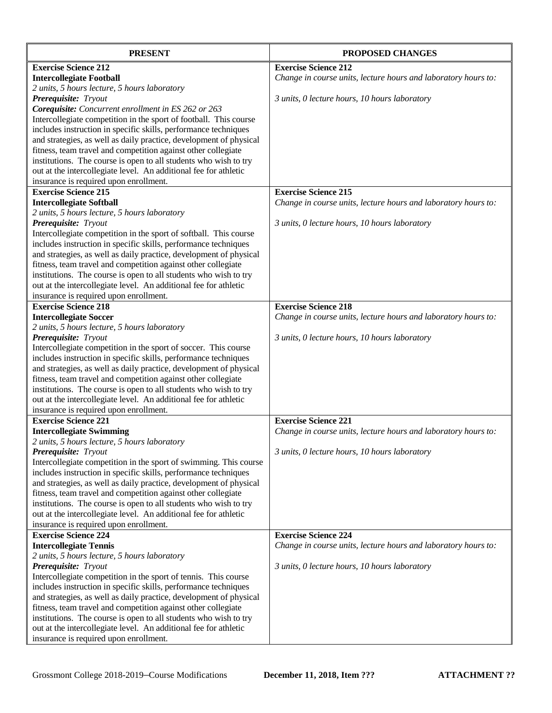| <b>PRESENT</b>                                                     | PROPOSED CHANGES                                               |
|--------------------------------------------------------------------|----------------------------------------------------------------|
| <b>Exercise Science 212</b>                                        | <b>Exercise Science 212</b>                                    |
| <b>Intercollegiate Football</b>                                    | Change in course units, lecture hours and laboratory hours to: |
| 2 units, 5 hours lecture, 5 hours laboratory                       |                                                                |
| Prerequisite: Tryout                                               | 3 units, 0 lecture hours, 10 hours laboratory                  |
| Corequisite: Concurrent enrollment in ES 262 or 263                |                                                                |
| Intercollegiate competition in the sport of football. This course  |                                                                |
| includes instruction in specific skills, performance techniques    |                                                                |
| and strategies, as well as daily practice, development of physical |                                                                |
| fitness, team travel and competition against other collegiate      |                                                                |
| institutions. The course is open to all students who wish to try   |                                                                |
| out at the intercollegiate level. An additional fee for athletic   |                                                                |
| insurance is required upon enrollment.                             |                                                                |
| <b>Exercise Science 215</b>                                        | <b>Exercise Science 215</b>                                    |
| <b>Intercollegiate Softball</b>                                    | Change in course units, lecture hours and laboratory hours to: |
| 2 units, 5 hours lecture, 5 hours laboratory                       |                                                                |
| Prerequisite: Tryout                                               | 3 units, 0 lecture hours, 10 hours laboratory                  |
| Intercollegiate competition in the sport of softball. This course  |                                                                |
| includes instruction in specific skills, performance techniques    |                                                                |
| and strategies, as well as daily practice, development of physical |                                                                |
| fitness, team travel and competition against other collegiate      |                                                                |
| institutions. The course is open to all students who wish to try   |                                                                |
| out at the intercollegiate level. An additional fee for athletic   |                                                                |
| insurance is required upon enrollment.                             |                                                                |
| <b>Exercise Science 218</b>                                        | <b>Exercise Science 218</b>                                    |
| <b>Intercollegiate Soccer</b>                                      | Change in course units, lecture hours and laboratory hours to: |
| 2 units, 5 hours lecture, 5 hours laboratory                       |                                                                |
| Prerequisite: Tryout                                               | 3 units, 0 lecture hours, 10 hours laboratory                  |
| Intercollegiate competition in the sport of soccer. This course    |                                                                |
| includes instruction in specific skills, performance techniques    |                                                                |
| and strategies, as well as daily practice, development of physical |                                                                |
| fitness, team travel and competition against other collegiate      |                                                                |
| institutions. The course is open to all students who wish to try   |                                                                |
| out at the intercollegiate level. An additional fee for athletic   |                                                                |
| insurance is required upon enrollment.                             |                                                                |
| <b>Exercise Science 221</b>                                        | <b>Exercise Science 221</b>                                    |
| <b>Intercollegiate Swimming</b>                                    | Change in course units, lecture hours and laboratory hours to: |
| 2 units, 5 hours lecture, 5 hours laboratory                       |                                                                |
| Prerequisite: Tryout                                               | 3 units, 0 lecture hours, 10 hours laboratory                  |
| Intercollegiate competition in the sport of swimming. This course  |                                                                |
| includes instruction in specific skills, performance techniques    |                                                                |
| and strategies, as well as daily practice, development of physical |                                                                |
| fitness, team travel and competition against other collegiate      |                                                                |
| institutions. The course is open to all students who wish to try   |                                                                |
| out at the intercollegiate level. An additional fee for athletic   |                                                                |
| insurance is required upon enrollment.                             |                                                                |
| <b>Exercise Science 224</b>                                        | <b>Exercise Science 224</b>                                    |
| <b>Intercollegiate Tennis</b>                                      | Change in course units, lecture hours and laboratory hours to: |
| 2 units, 5 hours lecture, 5 hours laboratory                       |                                                                |
| Prerequisite: Tryout                                               | 3 units, 0 lecture hours, 10 hours laboratory                  |
| Intercollegiate competition in the sport of tennis. This course    |                                                                |
| includes instruction in specific skills, performance techniques    |                                                                |
| and strategies, as well as daily practice, development of physical |                                                                |
| fitness, team travel and competition against other collegiate      |                                                                |
| institutions. The course is open to all students who wish to try   |                                                                |
| out at the intercollegiate level. An additional fee for athletic   |                                                                |
| insurance is required upon enrollment.                             |                                                                |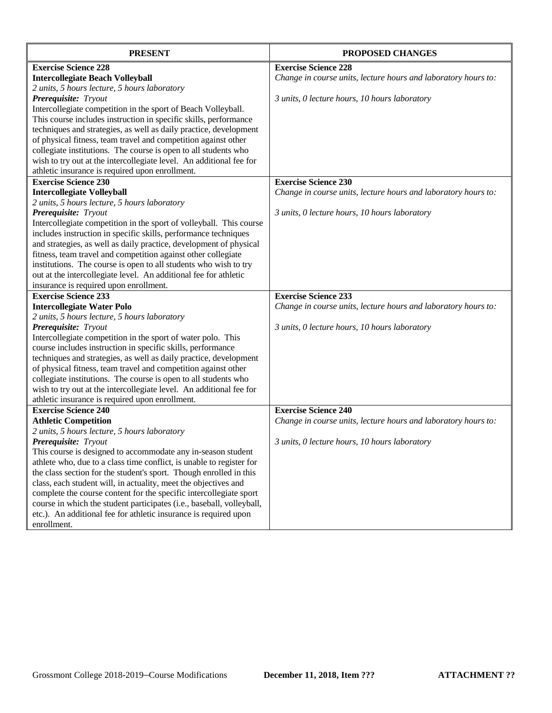| <b>PRESENT</b>                                                        | <b>PROPOSED CHANGES</b>                                        |
|-----------------------------------------------------------------------|----------------------------------------------------------------|
| <b>Exercise Science 228</b>                                           | <b>Exercise Science 228</b>                                    |
| <b>Intercollegiate Beach Volleyball</b>                               | Change in course units, lecture hours and laboratory hours to: |
| 2 units, 5 hours lecture, 5 hours laboratory                          |                                                                |
| Prerequisite: Tryout                                                  | 3 units, 0 lecture hours, 10 hours laboratory                  |
| Intercollegiate competition in the sport of Beach Volleyball.         |                                                                |
| This course includes instruction in specific skills, performance      |                                                                |
| techniques and strategies, as well as daily practice, development     |                                                                |
| of physical fitness, team travel and competition against other        |                                                                |
| collegiate institutions. The course is open to all students who       |                                                                |
| wish to try out at the intercollegiate level. An additional fee for   |                                                                |
| athletic insurance is required upon enrollment.                       |                                                                |
| <b>Exercise Science 230</b>                                           | <b>Exercise Science 230</b>                                    |
| <b>Intercollegiate Volleyball</b>                                     | Change in course units, lecture hours and laboratory hours to: |
| 2 units, 5 hours lecture, 5 hours laboratory                          |                                                                |
| Prerequisite: Tryout                                                  | 3 units, 0 lecture hours, 10 hours laboratory                  |
| Intercollegiate competition in the sport of volleyball. This course   |                                                                |
| includes instruction in specific skills, performance techniques       |                                                                |
| and strategies, as well as daily practice, development of physical    |                                                                |
| fitness, team travel and competition against other collegiate         |                                                                |
| institutions. The course is open to all students who wish to try      |                                                                |
| out at the intercollegiate level. An additional fee for athletic      |                                                                |
| insurance is required upon enrollment.                                |                                                                |
| <b>Exercise Science 233</b>                                           | <b>Exercise Science 233</b>                                    |
| <b>Intercollegiate Water Polo</b>                                     | Change in course units, lecture hours and laboratory hours to: |
| 2 units, 5 hours lecture, 5 hours laboratory                          |                                                                |
| Prerequisite: Tryout                                                  | 3 units, 0 lecture hours, 10 hours laboratory                  |
| Intercollegiate competition in the sport of water polo. This          |                                                                |
| course includes instruction in specific skills, performance           |                                                                |
| techniques and strategies, as well as daily practice, development     |                                                                |
| of physical fitness, team travel and competition against other        |                                                                |
| collegiate institutions. The course is open to all students who       |                                                                |
| wish to try out at the intercollegiate level. An additional fee for   |                                                                |
| athletic insurance is required upon enrollment.                       |                                                                |
| <b>Exercise Science 240</b>                                           | <b>Exercise Science 240</b>                                    |
| <b>Athletic Competition</b>                                           | Change in course units, lecture hours and laboratory hours to: |
| 2 units, 5 hours lecture, 5 hours laboratory                          |                                                                |
| <b>Prerequisite:</b> Tryout                                           | 3 units, 0 lecture hours, 10 hours laboratory                  |
| This course is designed to accommodate any in-season student          |                                                                |
| athlete who, due to a class time conflict, is unable to register for  |                                                                |
| the class section for the student's sport. Though enrolled in this    |                                                                |
| class, each student will, in actuality, meet the objectives and       |                                                                |
| complete the course content for the specific intercollegiate sport    |                                                                |
| course in which the student participates (i.e., baseball, volleyball, |                                                                |
| etc.). An additional fee for athletic insurance is required upon      |                                                                |
| enrollment.                                                           |                                                                |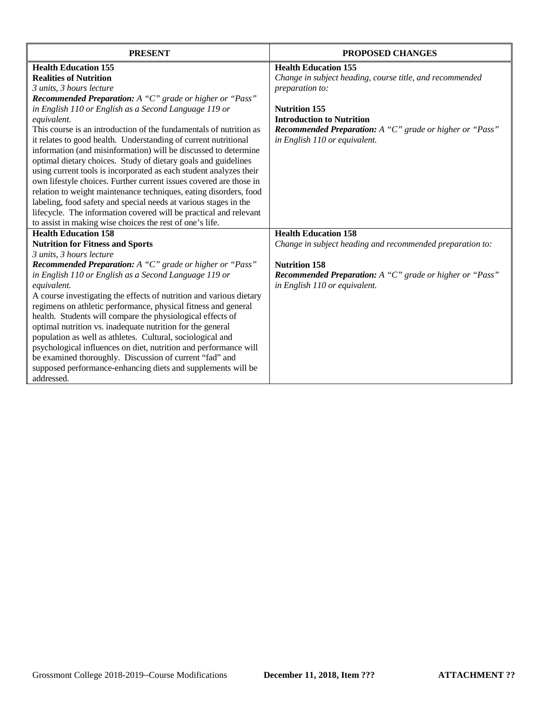| <b>PRESENT</b>                                                             | <b>PROPOSED CHANGES</b>                                         |
|----------------------------------------------------------------------------|-----------------------------------------------------------------|
| <b>Health Education 155</b>                                                | <b>Health Education 155</b>                                     |
| <b>Realities of Nutrition</b>                                              | Change in subject heading, course title, and recommended        |
| 3 units, 3 hours lecture                                                   | preparation to:                                                 |
| <b>Recommended Preparation:</b> A "C" grade or higher or "Pass"            |                                                                 |
| in English 110 or English as a Second Language 119 or                      | <b>Nutrition 155</b>                                            |
| equivalent.                                                                | <b>Introduction to Nutrition</b>                                |
| This course is an introduction of the fundamentals of nutrition as         | <b>Recommended Preparation:</b> A "C" grade or higher or "Pass" |
| it relates to good health. Understanding of current nutritional            | in English 110 or equivalent.                                   |
| information (and misinformation) will be discussed to determine            |                                                                 |
| optimal dietary choices. Study of dietary goals and guidelines             |                                                                 |
| using current tools is incorporated as each student analyzes their         |                                                                 |
| own lifestyle choices. Further current issues covered are those in         |                                                                 |
| relation to weight maintenance techniques, eating disorders, food          |                                                                 |
| labeling, food safety and special needs at various stages in the           |                                                                 |
| lifecycle. The information covered will be practical and relevant          |                                                                 |
| to assist in making wise choices the rest of one's life.                   |                                                                 |
| <b>Health Education 158</b>                                                | <b>Health Education 158</b>                                     |
| <b>Nutrition for Fitness and Sports</b>                                    | Change in subject heading and recommended preparation to:       |
| 3 units, 3 hours lecture                                                   |                                                                 |
| Recommended Preparation: A "C" grade or higher or "Pass"                   | <b>Nutrition 158</b>                                            |
| in English 110 or English as a Second Language 119 or                      | Recommended Preparation: A "C" grade or higher or "Pass"        |
| equivalent.                                                                | in English 110 or equivalent.                                   |
| A course investigating the effects of nutrition and various dietary        |                                                                 |
| regimens on athletic performance, physical fitness and general             |                                                                 |
| health. Students will compare the physiological effects of                 |                                                                 |
| optimal nutrition vs. inadequate nutrition for the general                 |                                                                 |
| population as well as athletes. Cultural, sociological and                 |                                                                 |
| psychological influences on diet, nutrition and performance will           |                                                                 |
| be examined thoroughly. Discussion of current "fad" and                    |                                                                 |
| supposed performance-enhancing diets and supplements will be<br>addressed. |                                                                 |
|                                                                            |                                                                 |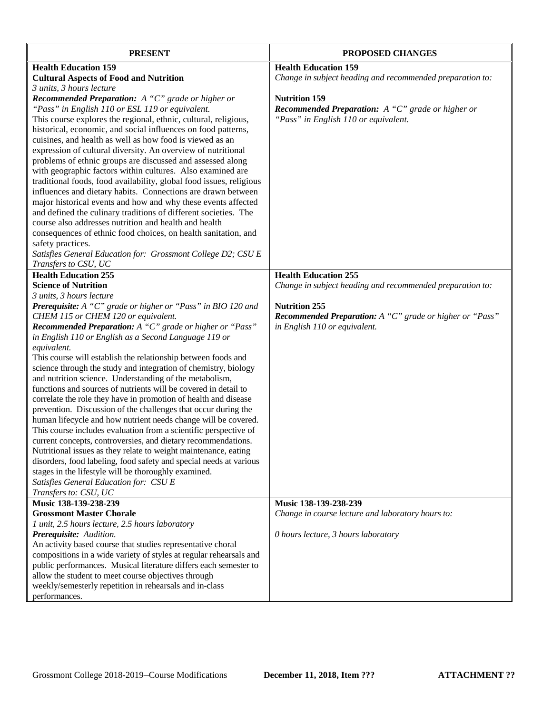| <b>PRESENT</b>                                                                                                           | <b>PROPOSED CHANGES</b>                                   |
|--------------------------------------------------------------------------------------------------------------------------|-----------------------------------------------------------|
| <b>Health Education 159</b>                                                                                              | <b>Health Education 159</b>                               |
| <b>Cultural Aspects of Food and Nutrition</b>                                                                            | Change in subject heading and recommended preparation to: |
| 3 units, 3 hours lecture                                                                                                 |                                                           |
| <b>Recommended Preparation:</b> A "C" grade or higher or                                                                 | <b>Nutrition 159</b>                                      |
| "Pass" in English 110 or ESL 119 or equivalent.                                                                          | <b>Recommended Preparation:</b> A "C" grade or higher or  |
| This course explores the regional, ethnic, cultural, religious,                                                          | "Pass" in English 110 or equivalent.                      |
| historical, economic, and social influences on food patterns,                                                            |                                                           |
| cuisines, and health as well as how food is viewed as an                                                                 |                                                           |
| expression of cultural diversity. An overview of nutritional                                                             |                                                           |
| problems of ethnic groups are discussed and assessed along                                                               |                                                           |
| with geographic factors within cultures. Also examined are                                                               |                                                           |
| traditional foods, food availability, global food issues, religious                                                      |                                                           |
| influences and dietary habits. Connections are drawn between                                                             |                                                           |
| major historical events and how and why these events affected                                                            |                                                           |
| and defined the culinary traditions of different societies. The<br>course also addresses nutrition and health and health |                                                           |
|                                                                                                                          |                                                           |
| consequences of ethnic food choices, on health sanitation, and                                                           |                                                           |
| safety practices.<br>Satisfies General Education for: Grossmont College D2; CSU E                                        |                                                           |
| Transfers to CSU, UC                                                                                                     |                                                           |
| <b>Health Education 255</b>                                                                                              | <b>Health Education 255</b>                               |
| <b>Science of Nutrition</b>                                                                                              | Change in subject heading and recommended preparation to: |
| 3 units, 3 hours lecture                                                                                                 |                                                           |
| Prerequisite: A "C" grade or higher or "Pass" in BIO 120 and                                                             | <b>Nutrition 255</b>                                      |
| CHEM 115 or CHEM 120 or equivalent.                                                                                      | Recommended Preparation: A "C" grade or higher or "Pass"  |
| Recommended Preparation: A "C" grade or higher or "Pass"                                                                 | in English 110 or equivalent.                             |
| in English 110 or English as a Second Language 119 or                                                                    |                                                           |
| equivalent.                                                                                                              |                                                           |
| This course will establish the relationship between foods and                                                            |                                                           |
| science through the study and integration of chemistry, biology                                                          |                                                           |
| and nutrition science. Understanding of the metabolism,                                                                  |                                                           |
| functions and sources of nutrients will be covered in detail to                                                          |                                                           |
| correlate the role they have in promotion of health and disease                                                          |                                                           |
| prevention. Discussion of the challenges that occur during the                                                           |                                                           |
| human lifecycle and how nutrient needs change will be covered.                                                           |                                                           |
| This course includes evaluation from a scientific perspective of                                                         |                                                           |
| current concepts, controversies, and dietary recommendations.                                                            |                                                           |
| Nutritional issues as they relate to weight maintenance, eating                                                          |                                                           |
| disorders, food labeling, food safety and special needs at various                                                       |                                                           |
| stages in the lifestyle will be thoroughly examined.                                                                     |                                                           |
| Satisfies General Education for: CSU E                                                                                   |                                                           |
| Transfers to: CSU, UC<br>Music 138-139-238-239                                                                           | Music 138-139-238-239                                     |
| <b>Grossmont Master Chorale</b>                                                                                          | Change in course lecture and laboratory hours to:         |
| 1 unit, 2.5 hours lecture, 2.5 hours laboratory                                                                          |                                                           |
| Prerequisite: Audition.                                                                                                  | 0 hours lecture, 3 hours laboratory                       |
| An activity based course that studies representative choral                                                              |                                                           |
| compositions in a wide variety of styles at regular rehearsals and                                                       |                                                           |
| public performances. Musical literature differs each semester to                                                         |                                                           |
| allow the student to meet course objectives through                                                                      |                                                           |
| weekly/semesterly repetition in rehearsals and in-class                                                                  |                                                           |
| performances.                                                                                                            |                                                           |
|                                                                                                                          |                                                           |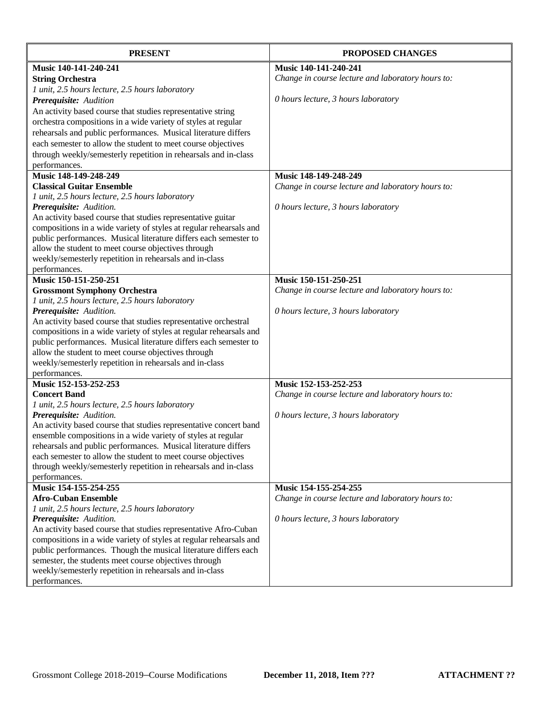| <b>PRESENT</b>                                                                                                                 | <b>PROPOSED CHANGES</b>                           |
|--------------------------------------------------------------------------------------------------------------------------------|---------------------------------------------------|
| Music 140-141-240-241                                                                                                          | Music 140-141-240-241                             |
| <b>String Orchestra</b>                                                                                                        | Change in course lecture and laboratory hours to: |
| 1 unit, 2.5 hours lecture, 2.5 hours laboratory                                                                                |                                                   |
| Prerequisite: Audition                                                                                                         | 0 hours lecture, 3 hours laboratory               |
| An activity based course that studies representative string                                                                    |                                                   |
| orchestra compositions in a wide variety of styles at regular                                                                  |                                                   |
| rehearsals and public performances. Musical literature differs                                                                 |                                                   |
| each semester to allow the student to meet course objectives                                                                   |                                                   |
| through weekly/semesterly repetition in rehearsals and in-class                                                                |                                                   |
| performances.                                                                                                                  |                                                   |
| Music 148-149-248-249                                                                                                          | Music 148-149-248-249                             |
| <b>Classical Guitar Ensemble</b>                                                                                               | Change in course lecture and laboratory hours to: |
| 1 unit, 2.5 hours lecture, 2.5 hours laboratory                                                                                |                                                   |
| Prerequisite: Audition.                                                                                                        | 0 hours lecture, 3 hours laboratory               |
| An activity based course that studies representative guitar                                                                    |                                                   |
| compositions in a wide variety of styles at regular rehearsals and                                                             |                                                   |
| public performances. Musical literature differs each semester to                                                               |                                                   |
| allow the student to meet course objectives through                                                                            |                                                   |
| weekly/semesterly repetition in rehearsals and in-class                                                                        |                                                   |
| performances.                                                                                                                  |                                                   |
| Music 150-151-250-251                                                                                                          | Music 150-151-250-251                             |
| <b>Grossmont Symphony Orchestra</b>                                                                                            | Change in course lecture and laboratory hours to: |
| 1 unit, 2.5 hours lecture, 2.5 hours laboratory                                                                                |                                                   |
| Prerequisite: Audition.                                                                                                        | 0 hours lecture, 3 hours laboratory               |
| An activity based course that studies representative orchestral                                                                |                                                   |
| compositions in a wide variety of styles at regular rehearsals and                                                             |                                                   |
| public performances. Musical literature differs each semester to                                                               |                                                   |
| allow the student to meet course objectives through                                                                            |                                                   |
| weekly/semesterly repetition in rehearsals and in-class                                                                        |                                                   |
| performances.                                                                                                                  |                                                   |
| Music 152-153-252-253                                                                                                          | Music 152-153-252-253                             |
| <b>Concert Band</b>                                                                                                            | Change in course lecture and laboratory hours to: |
| 1 unit, 2.5 hours lecture, 2.5 hours laboratory                                                                                |                                                   |
| Prerequisite: Audition.                                                                                                        | 0 hours lecture, 3 hours laboratory               |
| An activity based course that studies representative concert band                                                              |                                                   |
| ensemble compositions in a wide variety of styles at regular                                                                   |                                                   |
| rehearsals and public performances. Musical literature differs<br>each semester to allow the student to meet course objectives |                                                   |
| through weekly/semesterly repetition in rehearsals and in-class                                                                |                                                   |
| performances.                                                                                                                  |                                                   |
| Music 154-155-254-255                                                                                                          | Music 154-155-254-255                             |
| <b>Afro-Cuban Ensemble</b>                                                                                                     | Change in course lecture and laboratory hours to: |
| 1 unit, 2.5 hours lecture, 2.5 hours laboratory                                                                                |                                                   |
| Prerequisite: Audition.                                                                                                        | 0 hours lecture, 3 hours laboratory               |
| An activity based course that studies representative Afro-Cuban                                                                |                                                   |
| compositions in a wide variety of styles at regular rehearsals and                                                             |                                                   |
| public performances. Though the musical literature differs each                                                                |                                                   |
| semester, the students meet course objectives through                                                                          |                                                   |
| weekly/semesterly repetition in rehearsals and in-class                                                                        |                                                   |
| performances.                                                                                                                  |                                                   |
|                                                                                                                                |                                                   |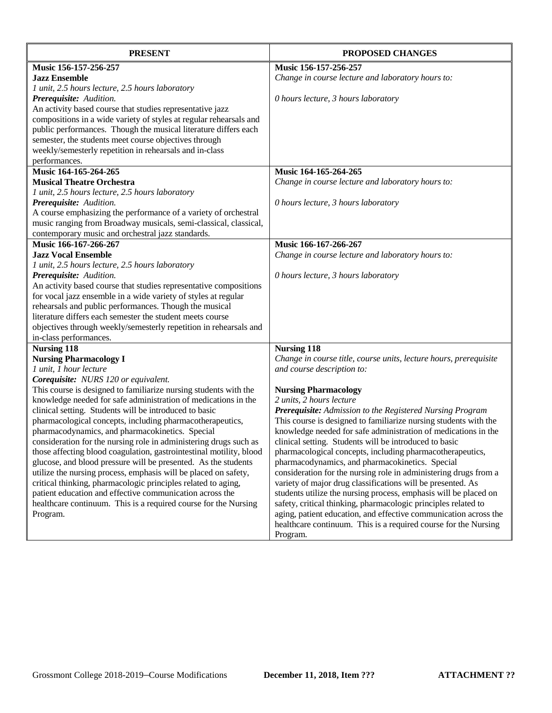| <b>PRESENT</b>                                                                                                                    | PROPOSED CHANGES                                                                                                                   |
|-----------------------------------------------------------------------------------------------------------------------------------|------------------------------------------------------------------------------------------------------------------------------------|
| Music 156-157-256-257                                                                                                             | Music 156-157-256-257                                                                                                              |
| <b>Jazz Ensemble</b>                                                                                                              | Change in course lecture and laboratory hours to:                                                                                  |
| 1 unit, 2.5 hours lecture, 2.5 hours laboratory                                                                                   |                                                                                                                                    |
| Prerequisite: Audition.                                                                                                           | 0 hours lecture, 3 hours laboratory                                                                                                |
| An activity based course that studies representative jazz                                                                         |                                                                                                                                    |
| compositions in a wide variety of styles at regular rehearsals and                                                                |                                                                                                                                    |
| public performances. Though the musical literature differs each                                                                   |                                                                                                                                    |
| semester, the students meet course objectives through                                                                             |                                                                                                                                    |
| weekly/semesterly repetition in rehearsals and in-class                                                                           |                                                                                                                                    |
| performances.                                                                                                                     |                                                                                                                                    |
| Music 164-165-264-265                                                                                                             | Music 164-165-264-265                                                                                                              |
| <b>Musical Theatre Orchestra</b>                                                                                                  | Change in course lecture and laboratory hours to:                                                                                  |
| 1 unit, 2.5 hours lecture, 2.5 hours laboratory                                                                                   |                                                                                                                                    |
| Prerequisite: Audition.                                                                                                           | 0 hours lecture, 3 hours laboratory                                                                                                |
| A course emphasizing the performance of a variety of orchestral                                                                   |                                                                                                                                    |
| music ranging from Broadway musicals, semi-classical, classical,                                                                  |                                                                                                                                    |
| contemporary music and orchestral jazz standards.                                                                                 |                                                                                                                                    |
| Music 166-167-266-267                                                                                                             | Music 166-167-266-267                                                                                                              |
| <b>Jazz Vocal Ensemble</b>                                                                                                        | Change in course lecture and laboratory hours to:                                                                                  |
| 1 unit, 2.5 hours lecture, 2.5 hours laboratory                                                                                   |                                                                                                                                    |
| Prerequisite: Audition.                                                                                                           | 0 hours lecture, 3 hours laboratory                                                                                                |
| An activity based course that studies representative compositions                                                                 |                                                                                                                                    |
| for vocal jazz ensemble in a wide variety of styles at regular                                                                    |                                                                                                                                    |
| rehearsals and public performances. Though the musical                                                                            |                                                                                                                                    |
| literature differs each semester the student meets course                                                                         |                                                                                                                                    |
| objectives through weekly/semesterly repetition in rehearsals and                                                                 |                                                                                                                                    |
| in-class performances.                                                                                                            |                                                                                                                                    |
| <b>Nursing 118</b>                                                                                                                | <b>Nursing 118</b>                                                                                                                 |
| <b>Nursing Pharmacology I</b>                                                                                                     | Change in course title, course units, lecture hours, prerequisite                                                                  |
| 1 unit, 1 hour lecture                                                                                                            | and course description to:                                                                                                         |
| Corequisite: NURS 120 or equivalent.                                                                                              |                                                                                                                                    |
| This course is designed to familiarize nursing students with the                                                                  | <b>Nursing Pharmacology</b>                                                                                                        |
| knowledge needed for safe administration of medications in the                                                                    | 2 units, 2 hours lecture                                                                                                           |
| clinical setting. Students will be introduced to basic                                                                            | Prerequisite: Admission to the Registered Nursing Program                                                                          |
| pharmacological concepts, including pharmacotherapeutics,                                                                         | This course is designed to familiarize nursing students with the                                                                   |
| pharmacodynamics, and pharmacokinetics. Special                                                                                   | knowledge needed for safe administration of medications in the                                                                     |
| consideration for the nursing role in administering drugs such as                                                                 | clinical setting. Students will be introduced to basic<br>pharmacological concepts, including pharmacotherapeutics,                |
| those affecting blood coagulation, gastrointestinal motility, blood                                                               |                                                                                                                                    |
| glucose, and blood pressure will be presented. As the students<br>utilize the nursing process, emphasis will be placed on safety, | pharmacodynamics, and pharmacokinetics. Special                                                                                    |
|                                                                                                                                   | consideration for the nursing role in administering drugs from a                                                                   |
| critical thinking, pharmacologic principles related to aging,                                                                     | variety of major drug classifications will be presented. As                                                                        |
| patient education and effective communication across the                                                                          | students utilize the nursing process, emphasis will be placed on                                                                   |
| healthcare continuum. This is a required course for the Nursing                                                                   | safety, critical thinking, pharmacologic principles related to<br>aging, patient education, and effective communication across the |
| Program.                                                                                                                          | healthcare continuum. This is a required course for the Nursing                                                                    |
|                                                                                                                                   | Program.                                                                                                                           |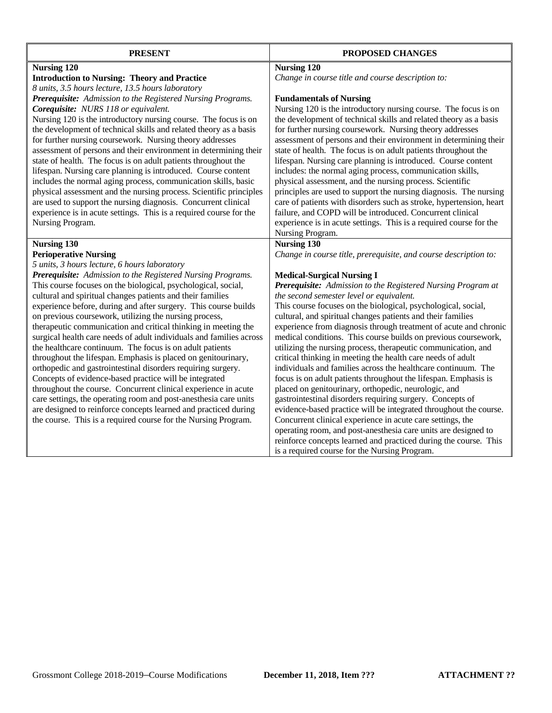| <b>PRESENT</b>                                                                                                                | PROPOSED CHANGES                                                                                                             |
|-------------------------------------------------------------------------------------------------------------------------------|------------------------------------------------------------------------------------------------------------------------------|
| <b>Nursing 120</b>                                                                                                            | <b>Nursing 120</b>                                                                                                           |
| <b>Introduction to Nursing: Theory and Practice</b>                                                                           | Change in course title and course description to:                                                                            |
| 8 units, 3.5 hours lecture, 13.5 hours laboratory                                                                             |                                                                                                                              |
| Prerequisite: Admission to the Registered Nursing Programs.                                                                   | <b>Fundamentals of Nursing</b>                                                                                               |
| Corequisite: NURS 118 or equivalent.                                                                                          | Nursing 120 is the introductory nursing course. The focus is on                                                              |
| Nursing 120 is the introductory nursing course. The focus is on                                                               | the development of technical skills and related theory as a basis                                                            |
| the development of technical skills and related theory as a basis                                                             | for further nursing coursework. Nursing theory addresses                                                                     |
| for further nursing coursework. Nursing theory addresses                                                                      | assessment of persons and their environment in determining their                                                             |
| assessment of persons and their environment in determining their                                                              | state of health. The focus is on adult patients throughout the                                                               |
| state of health. The focus is on adult patients throughout the                                                                | lifespan. Nursing care planning is introduced. Course content                                                                |
| lifespan. Nursing care planning is introduced. Course content                                                                 | includes: the normal aging process, communication skills,                                                                    |
| includes the normal aging process, communication skills, basic                                                                | physical assessment, and the nursing process. Scientific                                                                     |
| physical assessment and the nursing process. Scientific principles                                                            | principles are used to support the nursing diagnosis. The nursing                                                            |
| are used to support the nursing diagnosis. Concurrent clinical                                                                | care of patients with disorders such as stroke, hypertension, heart                                                          |
| experience is in acute settings. This is a required course for the                                                            | failure, and COPD will be introduced. Concurrent clinical                                                                    |
| Nursing Program.                                                                                                              | experience is in acute settings. This is a required course for the                                                           |
|                                                                                                                               | Nursing Program.                                                                                                             |
| <b>Nursing 130</b>                                                                                                            | <b>Nursing 130</b>                                                                                                           |
| <b>Perioperative Nursing</b>                                                                                                  | Change in course title, prerequisite, and course description to:                                                             |
| 5 units, 3 hours lecture, 6 hours laboratory                                                                                  |                                                                                                                              |
| Prerequisite: Admission to the Registered Nursing Programs.                                                                   | <b>Medical-Surgical Nursing I</b>                                                                                            |
| This course focuses on the biological, psychological, social,                                                                 | Prerequisite: Admission to the Registered Nursing Program at                                                                 |
| cultural and spiritual changes patients and their families                                                                    | the second semester level or equivalent.                                                                                     |
| experience before, during and after surgery. This course builds                                                               | This course focuses on the biological, psychological, social,                                                                |
| on previous coursework, utilizing the nursing process,                                                                        | cultural, and spiritual changes patients and their families                                                                  |
| therapeutic communication and critical thinking in meeting the                                                                | experience from diagnosis through treatment of acute and chronic                                                             |
| surgical health care needs of adult individuals and families across                                                           | medical conditions. This course builds on previous coursework,                                                               |
| the healthcare continuum. The focus is on adult patients                                                                      | utilizing the nursing process, therapeutic communication, and                                                                |
| throughout the lifespan. Emphasis is placed on genitourinary,<br>orthopedic and gastrointestinal disorders requiring surgery. | critical thinking in meeting the health care needs of adult<br>individuals and families across the healthcare continuum. The |
| Concepts of evidence-based practice will be integrated                                                                        | focus is on adult patients throughout the lifespan. Emphasis is                                                              |
| throughout the course. Concurrent clinical experience in acute                                                                | placed on genitourinary, orthopedic, neurologic, and                                                                         |
| care settings, the operating room and post-anesthesia care units                                                              | gastrointestinal disorders requiring surgery. Concepts of                                                                    |
| are designed to reinforce concepts learned and practiced during                                                               | evidence-based practice will be integrated throughout the course.                                                            |
| the course. This is a required course for the Nursing Program.                                                                | Concurrent clinical experience in acute care settings, the                                                                   |
|                                                                                                                               | operating room, and post-anesthesia care units are designed to                                                               |
|                                                                                                                               | reinforce concepts learned and practiced during the course. This                                                             |
|                                                                                                                               | is a required course for the Nursing Program.                                                                                |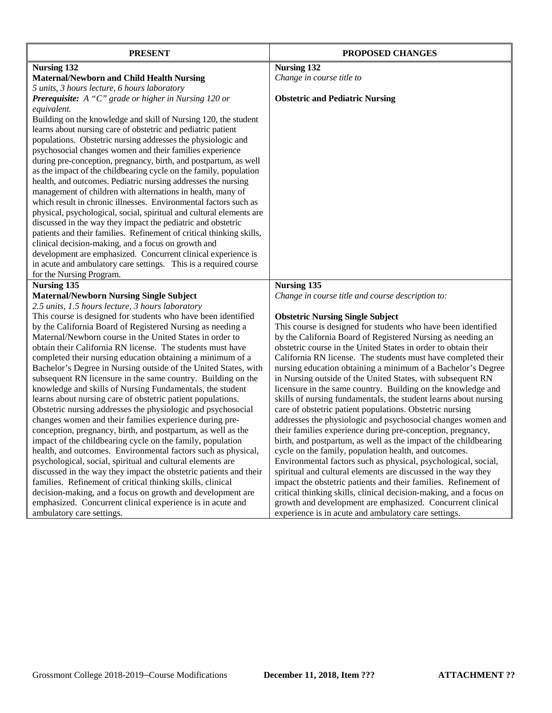| <b>PRESENT</b>                                                                                                    | <b>PROPOSED CHANGES</b>                                                                                  |
|-------------------------------------------------------------------------------------------------------------------|----------------------------------------------------------------------------------------------------------|
| Nursing 132                                                                                                       | <b>Nursing 132</b>                                                                                       |
| <b>Maternal/Newborn and Child Health Nursing</b>                                                                  | Change in course title to                                                                                |
| 5 units, 3 hours lecture, 6 hours laboratory                                                                      |                                                                                                          |
| <b>Prerequisite:</b> A "C" grade or higher in Nursing 120 or                                                      | <b>Obstetric and Pediatric Nursing</b>                                                                   |
| equivalent.                                                                                                       |                                                                                                          |
| Building on the knowledge and skill of Nursing 120, the student                                                   |                                                                                                          |
| learns about nursing care of obstetric and pediatric patient                                                      |                                                                                                          |
| populations. Obstetric nursing addresses the physiologic and                                                      |                                                                                                          |
| psychosocial changes women and their families experience                                                          |                                                                                                          |
| during pre-conception, pregnancy, birth, and postpartum, as well                                                  |                                                                                                          |
| as the impact of the childbearing cycle on the family, population                                                 |                                                                                                          |
| health, and outcomes. Pediatric nursing addresses the nursing                                                     |                                                                                                          |
| management of children with alternations in health, many of                                                       |                                                                                                          |
| which result in chronic illnesses. Environmental factors such as                                                  |                                                                                                          |
| physical, psychological, social, spiritual and cultural elements are                                              |                                                                                                          |
| discussed in the way they impact the pediatric and obstetric                                                      |                                                                                                          |
| patients and their families. Refinement of critical thinking skills,                                              |                                                                                                          |
| clinical decision-making, and a focus on growth and                                                               |                                                                                                          |
| development are emphasized. Concurrent clinical experience is                                                     |                                                                                                          |
| in acute and ambulatory care settings. This is a required course                                                  |                                                                                                          |
| for the Nursing Program.                                                                                          |                                                                                                          |
| <b>Nursing 135</b>                                                                                                | <b>Nursing 135</b>                                                                                       |
| <b>Maternal/Newborn Nursing Single Subject</b>                                                                    | Change in course title and course description to:                                                        |
| 2.5 units, 1.5 hours lecture, 3 hours laboratory<br>This course is designed for students who have been identified |                                                                                                          |
| by the California Board of Registered Nursing as needing a                                                        | <b>Obstetric Nursing Single Subject</b><br>This course is designed for students who have been identified |
| Maternal/Newborn course in the United States in order to                                                          | by the California Board of Registered Nursing as needing an                                              |
| obtain their California RN license. The students must have                                                        | obstetric course in the United States in order to obtain their                                           |
| completed their nursing education obtaining a minimum of a                                                        | California RN license. The students must have completed their                                            |
| Bachelor's Degree in Nursing outside of the United States, with                                                   | nursing education obtaining a minimum of a Bachelor's Degree                                             |
| subsequent RN licensure in the same country. Building on the                                                      | in Nursing outside of the United States, with subsequent RN                                              |
| knowledge and skills of Nursing Fundamentals, the student                                                         | licensure in the same country. Building on the knowledge and                                             |
| learns about nursing care of obstetric patient populations.                                                       | skills of nursing fundamentals, the student learns about nursing                                         |
| Obstetric nursing addresses the physiologic and psychosocial                                                      | care of obstetric patient populations. Obstetric nursing                                                 |
| changes women and their families experience during pre-                                                           | addresses the physiologic and psychosocial changes women and                                             |
| conception, pregnancy, birth, and postpartum, as well as the                                                      | their families experience during pre-conception, pregnancy,                                              |
| impact of the childbearing cycle on the family, population                                                        | birth, and postpartum, as well as the impact of the childbearing                                         |
| health, and outcomes. Environmental factors such as physical,                                                     | cycle on the family, population health, and outcomes.                                                    |
| psychological, social, spiritual and cultural elements are                                                        | Environmental factors such as physical, psychological, social,                                           |
| discussed in the way they impact the obstetric patients and their                                                 | spiritual and cultural elements are discussed in the way they                                            |
| families. Refinement of critical thinking skills, clinical                                                        | impact the obstetric patients and their families. Refinement of                                          |
| decision-making, and a focus on growth and development are                                                        | critical thinking skills, clinical decision-making, and a focus on                                       |
| emphasized. Concurrent clinical experience is in acute and                                                        | growth and development are emphasized. Concurrent clinical                                               |
| ambulatory care settings.                                                                                         | experience is in acute and ambulatory care settings.                                                     |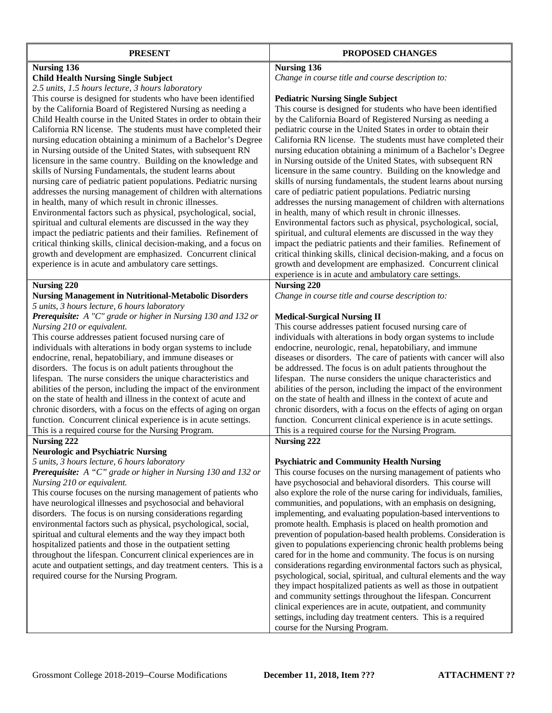| <b>PRESENT</b>                                                                                                                                                                                                                                                                                                                                                                                                                                                                                                                                                                                                                                                                                                                                                                                                                                                                                                                                                                                                                                                                                                            | PROPOSED CHANGES                                                                                                                                                                                                                                                                                                                                                                                                                                                                                                                                                                                                                                                                                                                                                                                                                                                                                                                                                                                                                                                                                                 |
|---------------------------------------------------------------------------------------------------------------------------------------------------------------------------------------------------------------------------------------------------------------------------------------------------------------------------------------------------------------------------------------------------------------------------------------------------------------------------------------------------------------------------------------------------------------------------------------------------------------------------------------------------------------------------------------------------------------------------------------------------------------------------------------------------------------------------------------------------------------------------------------------------------------------------------------------------------------------------------------------------------------------------------------------------------------------------------------------------------------------------|------------------------------------------------------------------------------------------------------------------------------------------------------------------------------------------------------------------------------------------------------------------------------------------------------------------------------------------------------------------------------------------------------------------------------------------------------------------------------------------------------------------------------------------------------------------------------------------------------------------------------------------------------------------------------------------------------------------------------------------------------------------------------------------------------------------------------------------------------------------------------------------------------------------------------------------------------------------------------------------------------------------------------------------------------------------------------------------------------------------|
| <b>Nursing 136</b><br><b>Child Health Nursing Single Subject</b>                                                                                                                                                                                                                                                                                                                                                                                                                                                                                                                                                                                                                                                                                                                                                                                                                                                                                                                                                                                                                                                          | <b>Nursing 136</b><br>Change in course title and course description to:                                                                                                                                                                                                                                                                                                                                                                                                                                                                                                                                                                                                                                                                                                                                                                                                                                                                                                                                                                                                                                          |
| 2.5 units, 1.5 hours lecture, 3 hours laboratory<br>This course is designed for students who have been identified<br>by the California Board of Registered Nursing as needing a<br>Child Health course in the United States in order to obtain their<br>California RN license. The students must have completed their<br>nursing education obtaining a minimum of a Bachelor's Degree<br>in Nursing outside of the United States, with subsequent RN<br>licensure in the same country. Building on the knowledge and<br>skills of Nursing Fundamentals, the student learns about<br>nursing care of pediatric patient populations. Pediatric nursing<br>addresses the nursing management of children with alternations<br>in health, many of which result in chronic illnesses.<br>Environmental factors such as physical, psychological, social,<br>spiritual and cultural elements are discussed in the way they<br>impact the pediatric patients and their families. Refinement of<br>critical thinking skills, clinical decision-making, and a focus on<br>growth and development are emphasized. Concurrent clinical | <b>Pediatric Nursing Single Subject</b><br>This course is designed for students who have been identified<br>by the California Board of Registered Nursing as needing a<br>pediatric course in the United States in order to obtain their<br>California RN license. The students must have completed their<br>nursing education obtaining a minimum of a Bachelor's Degree<br>in Nursing outside of the United States, with subsequent RN<br>licensure in the same country. Building on the knowledge and<br>skills of nursing fundamentals, the student learns about nursing<br>care of pediatric patient populations. Pediatric nursing<br>addresses the nursing management of children with alternations<br>in health, many of which result in chronic illnesses.<br>Environmental factors such as physical, psychological, social,<br>spiritual, and cultural elements are discussed in the way they<br>impact the pediatric patients and their families. Refinement of<br>critical thinking skills, clinical decision-making, and a focus on                                                                 |
| experience is in acute and ambulatory care settings.                                                                                                                                                                                                                                                                                                                                                                                                                                                                                                                                                                                                                                                                                                                                                                                                                                                                                                                                                                                                                                                                      | growth and development are emphasized. Concurrent clinical                                                                                                                                                                                                                                                                                                                                                                                                                                                                                                                                                                                                                                                                                                                                                                                                                                                                                                                                                                                                                                                       |
| <b>Nursing 220</b><br><b>Nursing Management in Nutritional-Metabolic Disorders</b><br>5 units, 3 hours lecture, 6 hours laboratory<br>Prerequisite: A "C" grade or higher in Nursing 130 and 132 or<br>Nursing 210 or equivalent.<br>This course addresses patient focused nursing care of<br>individuals with alterations in body organ systems to include<br>endocrine, renal, hepatobiliary, and immune diseases or<br>disorders. The focus is on adult patients throughout the<br>lifespan. The nurse considers the unique characteristics and<br>abilities of the person, including the impact of the environment<br>on the state of health and illness in the context of acute and<br>chronic disorders, with a focus on the effects of aging on organ<br>function. Concurrent clinical experience is in acute settings.<br>This is a required course for the Nursing Program.<br>Nursing 222                                                                                                                                                                                                                       | experience is in acute and ambulatory care settings.<br><b>Nursing 220</b><br>Change in course title and course description to:<br><b>Medical-Surgical Nursing II</b><br>This course addresses patient focused nursing care of<br>individuals with alterations in body organ systems to include<br>endocrine, neurologic, renal, hepatobiliary, and immune<br>diseases or disorders. The care of patients with cancer will also<br>be addressed. The focus is on adult patients throughout the<br>lifespan. The nurse considers the unique characteristics and<br>abilities of the person, including the impact of the environment<br>on the state of health and illness in the context of acute and<br>chronic disorders, with a focus on the effects of aging on organ<br>function. Concurrent clinical experience is in acute settings.<br>This is a required course for the Nursing Program.<br><b>Nursing 222</b>                                                                                                                                                                                           |
| <b>Neurologic and Psychiatric Nursing</b><br>5 units, 3 hours lecture, 6 hours laboratory<br>Prerequisite: A "C" grade or higher in Nursing 130 and 132 or<br>Nursing 210 or equivalent.<br>This course focuses on the nursing management of patients who<br>have neurological illnesses and psychosocial and behavioral<br>disorders. The focus is on nursing considerations regarding<br>environmental factors such as physical, psychological, social,<br>spiritual and cultural elements and the way they impact both<br>hospitalized patients and those in the outpatient setting<br>throughout the lifespan. Concurrent clinical experiences are in<br>acute and outpatient settings, and day treatment centers. This is a<br>required course for the Nursing Program.                                                                                                                                                                                                                                                                                                                                              | <b>Psychiatric and Community Health Nursing</b><br>This course focuses on the nursing management of patients who<br>have psychosocial and behavioral disorders. This course will<br>also explore the role of the nurse caring for individuals, families,<br>communities, and populations, with an emphasis on designing,<br>implementing, and evaluating population-based interventions to<br>promote health. Emphasis is placed on health promotion and<br>prevention of population-based health problems. Consideration is<br>given to populations experiencing chronic health problems being<br>cared for in the home and community. The focus is on nursing<br>considerations regarding environmental factors such as physical,<br>psychological, social, spiritual, and cultural elements and the way<br>they impact hospitalized patients as well as those in outpatient<br>and community settings throughout the lifespan. Concurrent<br>clinical experiences are in acute, outpatient, and community<br>settings, including day treatment centers. This is a required<br>course for the Nursing Program. |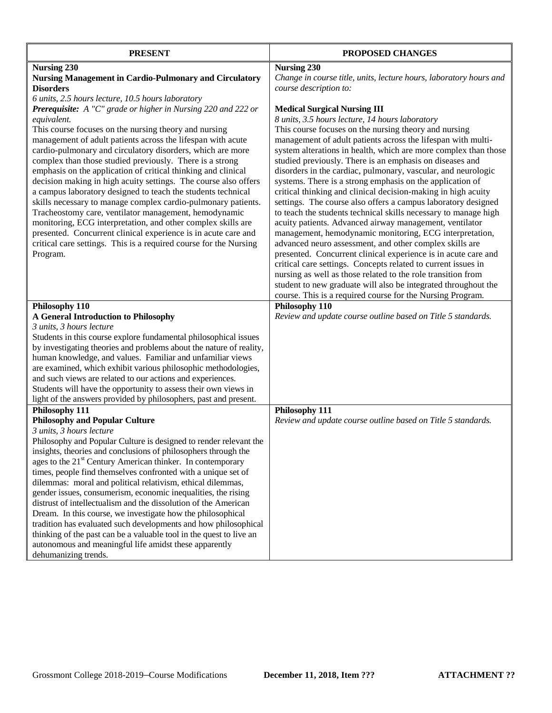| <b>PRESENT</b>                                                                                                                           | PROPOSED CHANGES                                                   |
|------------------------------------------------------------------------------------------------------------------------------------------|--------------------------------------------------------------------|
| <b>Nursing 230</b>                                                                                                                       | <b>Nursing 230</b>                                                 |
| <b>Nursing Management in Cardio-Pulmonary and Circulatory</b>                                                                            | Change in course title, units, lecture hours, laboratory hours and |
| <b>Disorders</b>                                                                                                                         | course description to:                                             |
| 6 units, 2.5 hours lecture, 10.5 hours laboratory                                                                                        |                                                                    |
| Prerequisite: A "C" grade or higher in Nursing 220 and 222 or                                                                            | <b>Medical Surgical Nursing III</b>                                |
| equivalent.                                                                                                                              | 8 units, 3.5 hours lecture, 14 hours laboratory                    |
| This course focuses on the nursing theory and nursing                                                                                    | This course focuses on the nursing theory and nursing              |
| management of adult patients across the lifespan with acute                                                                              | management of adult patients across the lifespan with multi-       |
| cardio-pulmonary and circulatory disorders, which are more                                                                               | system alterations in health, which are more complex than those    |
| complex than those studied previously. There is a strong                                                                                 | studied previously. There is an emphasis on diseases and           |
| emphasis on the application of critical thinking and clinical                                                                            | disorders in the cardiac, pulmonary, vascular, and neurologic      |
| decision making in high acuity settings. The course also offers                                                                          | systems. There is a strong emphasis on the application of          |
| a campus laboratory designed to teach the students technical                                                                             | critical thinking and clinical decision-making in high acuity      |
| skills necessary to manage complex cardio-pulmonary patients.                                                                            | settings. The course also offers a campus laboratory designed      |
| Tracheostomy care, ventilator management, hemodynamic                                                                                    | to teach the students technical skills necessary to manage high    |
| monitoring, ECG interpretation, and other complex skills are                                                                             | acuity patients. Advanced airway management, ventilator            |
| presented. Concurrent clinical experience is in acute care and                                                                           | management, hemodynamic monitoring, ECG interpretation,            |
| critical care settings. This is a required course for the Nursing                                                                        | advanced neuro assessment, and other complex skills are            |
| Program.                                                                                                                                 | presented. Concurrent clinical experience is in acute care and     |
|                                                                                                                                          | critical care settings. Concepts related to current issues in      |
|                                                                                                                                          | nursing as well as those related to the role transition from       |
|                                                                                                                                          | student to new graduate will also be integrated throughout the     |
|                                                                                                                                          | course. This is a required course for the Nursing Program.         |
| Philosophy 110                                                                                                                           | Philosophy 110                                                     |
| <b>A General Introduction to Philosophy</b>                                                                                              | Review and update course outline based on Title 5 standards.       |
| 3 units, 3 hours lecture                                                                                                                 |                                                                    |
| Students in this course explore fundamental philosophical issues                                                                         |                                                                    |
| by investigating theories and problems about the nature of reality,                                                                      |                                                                    |
| human knowledge, and values. Familiar and unfamiliar views                                                                               |                                                                    |
| are examined, which exhibit various philosophic methodologies,                                                                           |                                                                    |
| and such views are related to our actions and experiences.                                                                               |                                                                    |
| Students will have the opportunity to assess their own views in                                                                          |                                                                    |
| light of the answers provided by philosophers, past and present.                                                                         |                                                                    |
| Philosophy 111<br><b>Philosophy and Popular Culture</b>                                                                                  | Philosophy 111                                                     |
| 3 units, 3 hours lecture                                                                                                                 | Review and update course outline based on Title 5 standards.       |
| Philosophy and Popular Culture is designed to render relevant the                                                                        |                                                                    |
|                                                                                                                                          |                                                                    |
| insights, theories and conclusions of philosophers through the<br>ages to the 21 <sup>st</sup> Century American thinker. In contemporary |                                                                    |
| times, people find themselves confronted with a unique set of                                                                            |                                                                    |
| dilemmas: moral and political relativism, ethical dilemmas,                                                                              |                                                                    |
| gender issues, consumerism, economic inequalities, the rising                                                                            |                                                                    |
| distrust of intellectualism and the dissolution of the American                                                                          |                                                                    |
| Dream. In this course, we investigate how the philosophical                                                                              |                                                                    |
| tradition has evaluated such developments and how philosophical                                                                          |                                                                    |
| thinking of the past can be a valuable tool in the quest to live an                                                                      |                                                                    |
| autonomous and meaningful life amidst these apparently                                                                                   |                                                                    |
| dehumanizing trends.                                                                                                                     |                                                                    |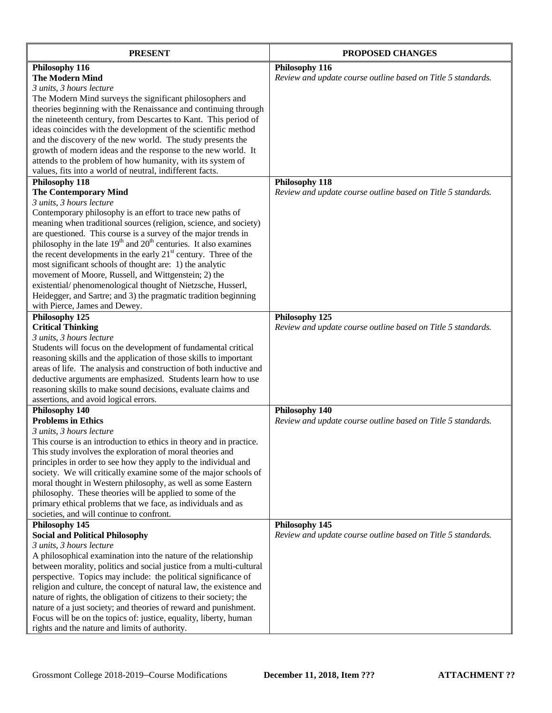| <b>PRESENT</b>                                                                                                                        | PROPOSED CHANGES                                             |
|---------------------------------------------------------------------------------------------------------------------------------------|--------------------------------------------------------------|
| Philosophy 116                                                                                                                        | Philosophy 116                                               |
| <b>The Modern Mind</b>                                                                                                                | Review and update course outline based on Title 5 standards. |
| 3 units, 3 hours lecture                                                                                                              |                                                              |
| The Modern Mind surveys the significant philosophers and                                                                              |                                                              |
| theories beginning with the Renaissance and continuing through                                                                        |                                                              |
| the nineteenth century, from Descartes to Kant. This period of                                                                        |                                                              |
| ideas coincides with the development of the scientific method                                                                         |                                                              |
| and the discovery of the new world. The study presents the                                                                            |                                                              |
| growth of modern ideas and the response to the new world. It                                                                          |                                                              |
| attends to the problem of how humanity, with its system of                                                                            |                                                              |
| values, fits into a world of neutral, indifferent facts.                                                                              |                                                              |
| Philosophy 118                                                                                                                        | Philosophy 118                                               |
| <b>The Contemporary Mind</b>                                                                                                          | Review and update course outline based on Title 5 standards. |
| 3 units, 3 hours lecture<br>Contemporary philosophy is an effort to trace new paths of                                                |                                                              |
| meaning when traditional sources (religion, science, and society)                                                                     |                                                              |
| are questioned. This course is a survey of the major trends in                                                                        |                                                              |
| philosophy in the late $19th$ and $20th$ centuries. It also examines                                                                  |                                                              |
| the recent developments in the early $21st$ century. Three of the                                                                     |                                                              |
| most significant schools of thought are: 1) the analytic                                                                              |                                                              |
| movement of Moore, Russell, and Wittgenstein; 2) the                                                                                  |                                                              |
| existential/phenomenological thought of Nietzsche, Husserl,                                                                           |                                                              |
| Heidegger, and Sartre; and 3) the pragmatic tradition beginning                                                                       |                                                              |
| with Pierce, James and Dewey.                                                                                                         |                                                              |
| Philosophy 125                                                                                                                        | Philosophy 125                                               |
| <b>Critical Thinking</b>                                                                                                              | Review and update course outline based on Title 5 standards. |
| 3 units, 3 hours lecture                                                                                                              |                                                              |
| Students will focus on the development of fundamental critical                                                                        |                                                              |
| reasoning skills and the application of those skills to important                                                                     |                                                              |
| areas of life. The analysis and construction of both inductive and                                                                    |                                                              |
| deductive arguments are emphasized. Students learn how to use                                                                         |                                                              |
| reasoning skills to make sound decisions, evaluate claims and                                                                         |                                                              |
| assertions, and avoid logical errors.<br>Philosophy 140                                                                               | Philosophy 140                                               |
| <b>Problems in Ethics</b>                                                                                                             | Review and update course outline based on Title 5 standards. |
| 3 units, 3 hours lecture                                                                                                              |                                                              |
| This course is an introduction to ethics in theory and in practice.                                                                   |                                                              |
| This study involves the exploration of moral theories and                                                                             |                                                              |
| principles in order to see how they apply to the individual and                                                                       |                                                              |
| society. We will critically examine some of the major schools of                                                                      |                                                              |
| moral thought in Western philosophy, as well as some Eastern                                                                          |                                                              |
| philosophy. These theories will be applied to some of the                                                                             |                                                              |
| primary ethical problems that we face, as individuals and as                                                                          |                                                              |
| societies, and will continue to confront.                                                                                             |                                                              |
| Philosophy 145                                                                                                                        | Philosophy 145                                               |
| <b>Social and Political Philosophy</b>                                                                                                | Review and update course outline based on Title 5 standards. |
| 3 units, 3 hours lecture                                                                                                              |                                                              |
| A philosophical examination into the nature of the relationship                                                                       |                                                              |
| between morality, politics and social justice from a multi-cultural                                                                   |                                                              |
| perspective. Topics may include: the political significance of<br>religion and culture, the concept of natural law, the existence and |                                                              |
| nature of rights, the obligation of citizens to their society; the                                                                    |                                                              |
| nature of a just society; and theories of reward and punishment.                                                                      |                                                              |
| Focus will be on the topics of: justice, equality, liberty, human                                                                     |                                                              |
| rights and the nature and limits of authority.                                                                                        |                                                              |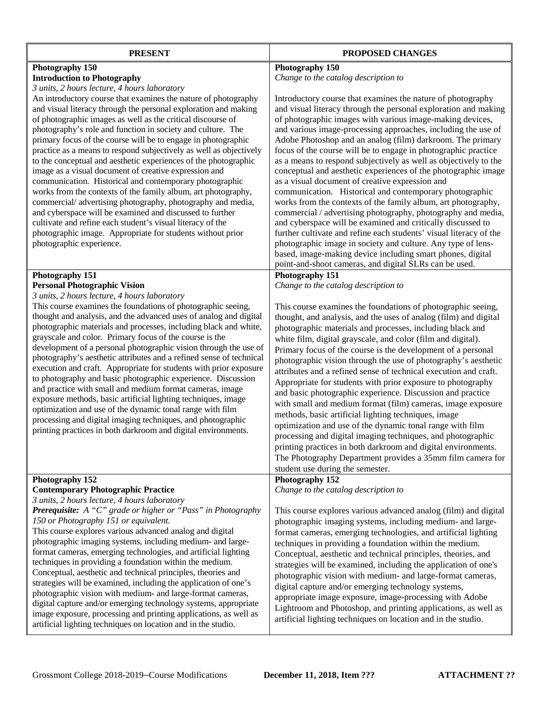| <b>PRESENT</b>                                                                                                                                                                                                                                                                                                                                                                                                                                                                                                                                                                                                                                                                                                                                                                                                                                                                                                                                                                                                                                            | PROPOSED CHANGES                                                                                                                                                                                                                                                                                                                                                                                                                                                                                                                                                                                                                                                                                                                                                                                                                                                                                                                                                                                                                                                                                                                            |
|-----------------------------------------------------------------------------------------------------------------------------------------------------------------------------------------------------------------------------------------------------------------------------------------------------------------------------------------------------------------------------------------------------------------------------------------------------------------------------------------------------------------------------------------------------------------------------------------------------------------------------------------------------------------------------------------------------------------------------------------------------------------------------------------------------------------------------------------------------------------------------------------------------------------------------------------------------------------------------------------------------------------------------------------------------------|---------------------------------------------------------------------------------------------------------------------------------------------------------------------------------------------------------------------------------------------------------------------------------------------------------------------------------------------------------------------------------------------------------------------------------------------------------------------------------------------------------------------------------------------------------------------------------------------------------------------------------------------------------------------------------------------------------------------------------------------------------------------------------------------------------------------------------------------------------------------------------------------------------------------------------------------------------------------------------------------------------------------------------------------------------------------------------------------------------------------------------------------|
| Photography 150<br><b>Introduction to Photography</b><br>3 units, 2 hours lecture, 4 hours laboratory<br>An introductory course that examines the nature of photography<br>and visual literacy through the personal exploration and making<br>of photographic images as well as the critical discourse of<br>photography's role and function in society and culture. The<br>primary focus of the course will be to engage in photographic<br>practice as a means to respond subjectively as well as objectively<br>to the conceptual and aesthetic experiences of the photographic<br>image as a visual document of creative expression and<br>communication. Historical and contemporary photographic<br>works from the contexts of the family album, art photography,<br>commercial/advertising photography, photography and media,<br>and cyberspace will be examined and discussed to further<br>cultivate and refine each student's visual literacy of the<br>photographic image. Appropriate for students without prior<br>photographic experience. | Photography 150<br>Change to the catalog description to<br>Introductory course that examines the nature of photography<br>and visual literacy through the personal exploration and making<br>of photographic images with various image-making devices,<br>and various image-processing approaches, including the use of<br>Adobe Photoshop and an analog (film) darkroom. The primary<br>focus of the course will be to engage in photographic practice<br>as a means to respond subjectively as well as objectively to the<br>conceptual and aesthetic experiences of the photographic image<br>as a visual document of creative expression and<br>communication. Historical and contemporary photographic<br>works from the contexts of the family album, art photography,<br>commercial / advertising photography, photography and media,<br>and cyberspace will be examined and critically discussed to<br>further cultivate and refine each students' visual literacy of the<br>photographic image in society and culture. Any type of lens-<br>based, image-making device including smart phones, digital                             |
| Photography 151<br><b>Personal Photographic Vision</b><br>3 units, 2 hours lecture, 4 hours laboratory<br>This course examines the foundations of photographic seeing,<br>thought and analysis, and the advanced uses of analog and digital<br>photographic materials and processes, including black and white,<br>grayscale and color. Primary focus of the course is the<br>development of a personal photographic vision through the use of<br>photography's aesthetic attributes and a refined sense of technical<br>execution and craft. Appropriate for students with prior exposure<br>to photography and basic photographic experience. Discussion<br>and practice with small and medium format cameras, image<br>exposure methods, basic artificial lighting techniques, image<br>optimization and use of the dynamic tonal range with film<br>processing and digital imaging techniques, and photographic<br>printing practices in both darkroom and digital environments.                                                                      | point-and-shoot cameras, and digital SLRs can be used.<br>Photography 151<br>Change to the catalog description to<br>This course examines the foundations of photographic seeing,<br>thought, and analysis, and the uses of analog (film) and digital<br>photographic materials and processes, including black and<br>white film, digital grayscale, and color (film and digital).<br>Primary focus of the course is the development of a personal<br>photographic vision through the use of photography's aesthetic<br>attributes and a refined sense of technical execution and craft.<br>Appropriate for students with prior exposure to photography<br>and basic photographic experience. Discussion and practice<br>with small and medium format (film) cameras, image exposure<br>methods, basic artificial lighting techniques, image<br>optimization and use of the dynamic tonal range with film<br>processing and digital imaging techniques, and photographic<br>printing practices in both darkroom and digital environments.<br>The Photography Department provides a 35mm film camera for<br>student use during the semester. |
| Photography 152<br><b>Contemporary Photographic Practice</b><br>3 units, 2 hours lecture, 4 hours laboratory<br><b>Prerequisite:</b> A "C" grade or higher or "Pass" in Photography<br>150 or Photography 151 or equivalent.<br>This course explores various advanced analog and digital<br>photographic imaging systems, including medium- and large-<br>format cameras, emerging technologies, and artificial lighting<br>techniques in providing a foundation within the medium.<br>Conceptual, aesthetic and technical principles, theories and<br>strategies will be examined, including the application of one's<br>photographic vision with medium- and large-format cameras,<br>digital capture and/or emerging technology systems, appropriate<br>image exposure, processing and printing applications, as well as<br>artificial lighting techniques on location and in the studio.                                                                                                                                                              | Photography 152<br>Change to the catalog description to<br>This course explores various advanced analog (film) and digital<br>photographic imaging systems, including medium- and large-<br>format cameras, emerging technologies, and artificial lighting<br>techniques in providing a foundation within the medium.<br>Conceptual, aesthetic and technical principles, theories, and<br>strategies will be examined, including the application of one's<br>photographic vision with medium- and large-format cameras,<br>digital capture and/or emerging technology systems,<br>appropriate image exposure, image-processing with Adobe<br>Lightroom and Photoshop, and printing applications, as well as<br>artificial lighting techniques on location and in the studio.                                                                                                                                                                                                                                                                                                                                                                |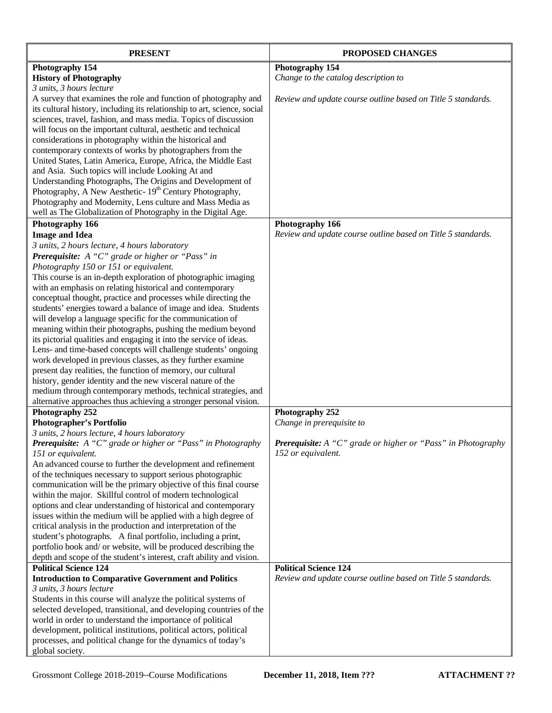| <b>PRESENT</b>                                                           | PROPOSED CHANGES                                             |
|--------------------------------------------------------------------------|--------------------------------------------------------------|
| Photography 154                                                          | Photography 154                                              |
| <b>History of Photography</b>                                            | Change to the catalog description to                         |
| 3 units, 3 hours lecture                                                 |                                                              |
| A survey that examines the role and function of photography and          | Review and update course outline based on Title 5 standards. |
| its cultural history, including its relationship to art, science, social |                                                              |
| sciences, travel, fashion, and mass media. Topics of discussion          |                                                              |
| will focus on the important cultural, aesthetic and technical            |                                                              |
| considerations in photography within the historical and                  |                                                              |
| contemporary contexts of works by photographers from the                 |                                                              |
| United States, Latin America, Europe, Africa, the Middle East            |                                                              |
| and Asia. Such topics will include Looking At and                        |                                                              |
| Understanding Photographs, The Origins and Development of                |                                                              |
| Photography, A New Aesthetic- 19 <sup>th</sup> Century Photography,      |                                                              |
| Photography and Modernity, Lens culture and Mass Media as                |                                                              |
| well as The Globalization of Photography in the Digital Age.             |                                                              |
| Photography 166                                                          | Photography 166                                              |
| <b>Image and Idea</b>                                                    | Review and update course outline based on Title 5 standards. |
| 3 units, 2 hours lecture, 4 hours laboratory                             |                                                              |
| Prerequisite: A "C" grade or higher or "Pass" in                         |                                                              |
| Photography 150 or 151 or equivalent.                                    |                                                              |
| This course is an in-depth exploration of photographic imaging           |                                                              |
| with an emphasis on relating historical and contemporary                 |                                                              |
| conceptual thought, practice and processes while directing the           |                                                              |
| students' energies toward a balance of image and idea. Students          |                                                              |
| will develop a language specific for the communication of                |                                                              |
| meaning within their photographs, pushing the medium beyond              |                                                              |
| its pictorial qualities and engaging it into the service of ideas.       |                                                              |
| Lens- and time-based concepts will challenge students' ongoing           |                                                              |
| work developed in previous classes, as they further examine              |                                                              |
| present day realities, the function of memory, our cultural              |                                                              |
| history, gender identity and the new visceral nature of the              |                                                              |
| medium through contemporary methods, technical strategies, and           |                                                              |
| alternative approaches thus achieving a stronger personal vision.        |                                                              |
| Photography 252                                                          | Photography 252                                              |
| <b>Photographer's Portfolio</b>                                          | Change in prerequisite to                                    |
| 3 units, 2 hours lecture, 4 hours laboratory                             |                                                              |
| Prerequisite: A "C" grade or higher or "Pass" in Photography             | Prerequisite: A "C" grade or higher or "Pass" in Photography |
| 151 or equivalent.                                                       | 152 or equivalent.                                           |
| An advanced course to further the development and refinement             |                                                              |
| of the techniques necessary to support serious photographic              |                                                              |
| communication will be the primary objective of this final course         |                                                              |
| within the major. Skillful control of modern technological               |                                                              |
| options and clear understanding of historical and contemporary           |                                                              |
| issues within the medium will be applied with a high degree of           |                                                              |
| critical analysis in the production and interpretation of the            |                                                              |
| student's photographs. A final portfolio, including a print,             |                                                              |
| portfolio book and/ or website, will be produced describing the          |                                                              |
| depth and scope of the student's interest, craft ability and vision.     |                                                              |
| <b>Political Science 124</b>                                             | <b>Political Science 124</b>                                 |
| <b>Introduction to Comparative Government and Politics</b>               | Review and update course outline based on Title 5 standards. |
| 3 units, 3 hours lecture                                                 |                                                              |
| Students in this course will analyze the political systems of            |                                                              |
| selected developed, transitional, and developing countries of the        |                                                              |
| world in order to understand the importance of political                 |                                                              |
| development, political institutions, political actors, political         |                                                              |
| processes, and political change for the dynamics of today's              |                                                              |
| global society.                                                          |                                                              |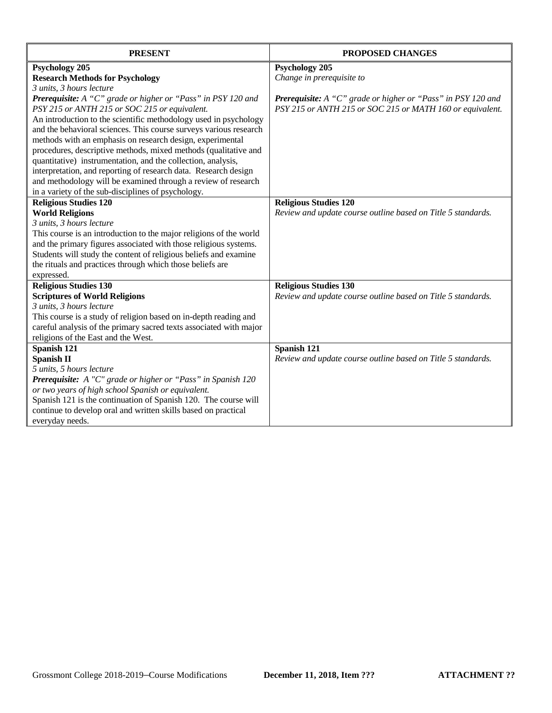| <b>PRESENT</b>                                                      | <b>PROPOSED CHANGES</b>                                             |
|---------------------------------------------------------------------|---------------------------------------------------------------------|
| <b>Psychology 205</b>                                               | <b>Psychology 205</b>                                               |
| <b>Research Methods for Psychology</b>                              | Change in prerequisite to                                           |
| 3 units, 3 hours lecture                                            |                                                                     |
| <b>Prerequisite:</b> A "C" grade or higher or "Pass" in PSY 120 and | <b>Prerequisite:</b> A "C" grade or higher or "Pass" in PSY 120 and |
| PSY 215 or ANTH 215 or SOC 215 or equivalent.                       | PSY 215 or ANTH 215 or SOC 215 or MATH 160 or equivalent.           |
| An introduction to the scientific methodology used in psychology    |                                                                     |
| and the behavioral sciences. This course surveys various research   |                                                                     |
| methods with an emphasis on research design, experimental           |                                                                     |
| procedures, descriptive methods, mixed methods (qualitative and     |                                                                     |
| quantitative) instrumentation, and the collection, analysis,        |                                                                     |
| interpretation, and reporting of research data. Research design     |                                                                     |
| and methodology will be examined through a review of research       |                                                                     |
| in a variety of the sub-disciplines of psychology.                  |                                                                     |
| <b>Religious Studies 120</b>                                        | <b>Religious Studies 120</b>                                        |
| <b>World Religions</b>                                              | Review and update course outline based on Title 5 standards.        |
| 3 units, 3 hours lecture                                            |                                                                     |
| This course is an introduction to the major religions of the world  |                                                                     |
| and the primary figures associated with those religious systems.    |                                                                     |
| Students will study the content of religious beliefs and examine    |                                                                     |
| the rituals and practices through which those beliefs are           |                                                                     |
| expressed.                                                          |                                                                     |
| <b>Religious Studies 130</b>                                        | <b>Religious Studies 130</b>                                        |
| <b>Scriptures of World Religions</b>                                | Review and update course outline based on Title 5 standards.        |
| 3 units, 3 hours lecture                                            |                                                                     |
| This course is a study of religion based on in-depth reading and    |                                                                     |
| careful analysis of the primary sacred texts associated with major  |                                                                     |
| religions of the East and the West.                                 |                                                                     |
| Spanish 121                                                         | Spanish 121                                                         |
| <b>Spanish II</b>                                                   | Review and update course outline based on Title 5 standards.        |
| 5 units, 5 hours lecture                                            |                                                                     |
| Prerequisite: A "C" grade or higher or "Pass" in Spanish 120        |                                                                     |
| or two years of high school Spanish or equivalent.                  |                                                                     |
| Spanish 121 is the continuation of Spanish 120. The course will     |                                                                     |
| continue to develop oral and written skills based on practical      |                                                                     |
| everyday needs.                                                     |                                                                     |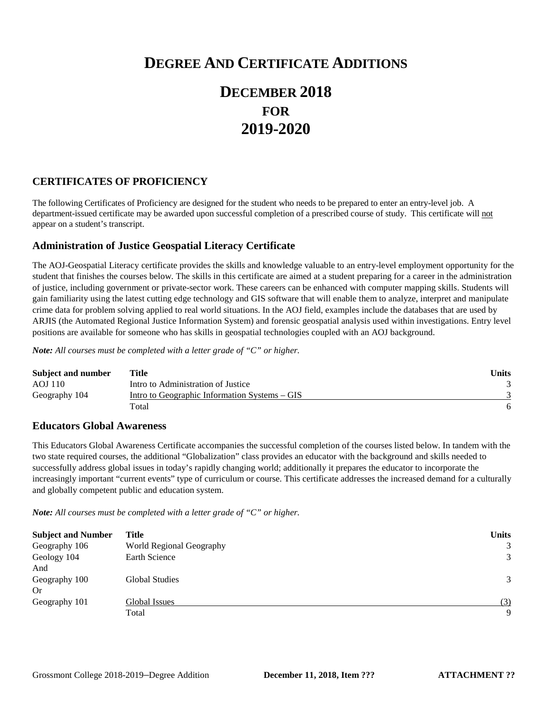# **DEGREE AND CERTIFICATE ADDITIONS**

# **DECEMBER 2018 FOR 2019-2020**

## **CERTIFICATES OF PROFICIENCY**

The following Certificates of Proficiency are designed for the student who needs to be prepared to enter an entry-level job. A department-issued certificate may be awarded upon successful completion of a prescribed course of study. This certificate will not appear on a student's transcript.

## **Administration of Justice Geospatial Literacy Certificate**

The AOJ-Geospatial Literacy certificate provides the skills and knowledge valuable to an entry-level employment opportunity for the student that finishes the courses below. The skills in this certificate are aimed at a student preparing for a career in the administration of justice, including government or private-sector work. These careers can be enhanced with computer mapping skills. Students will gain familiarity using the latest cutting edge technology and GIS software that will enable them to analyze, interpret and manipulate crime data for problem solving applied to real world situations. In the AOJ field, examples include the databases that are used by ARJIS (the Automated Regional Justice Information System) and forensic geospatial analysis used within investigations. Entry level positions are available for someone who has skills in geospatial technologies coupled with an AOJ background.

*Note: All courses must be completed with a letter grade of "C" or higher.*

| Subject and number | Title                                         | <b>Units</b> |
|--------------------|-----------------------------------------------|--------------|
| AOJ 110            | Intro to Administration of Justice            |              |
| Geography 104      | Intro to Geographic Information Systems – GIS |              |
|                    | Total                                         |              |

## **Educators Global Awareness**

This Educators Global Awareness Certificate accompanies the successful completion of the courses listed below. In tandem with the two state required courses, the additional "Globalization" class provides an educator with the background and skills needed to successfully address global issues in today's rapidly changing world; additionally it prepares the educator to incorporate the increasingly important "current events" type of curriculum or course. This certificate addresses the increased demand for a culturally and globally competent public and education system.

*Note: All courses must be completed with a letter grade of "C" or higher.*

| <b>Subject and Number</b> | Title                    | <b>Units</b> |
|---------------------------|--------------------------|--------------|
| Geography 106             | World Regional Geography | 3            |
| Geology 104               | Earth Science            | 3            |
| And                       |                          |              |
| Geography 100             | <b>Global Studies</b>    | 3            |
| Or                        |                          |              |
| Geography 101             | Global Issues            | (3)          |
|                           | Total                    | 9            |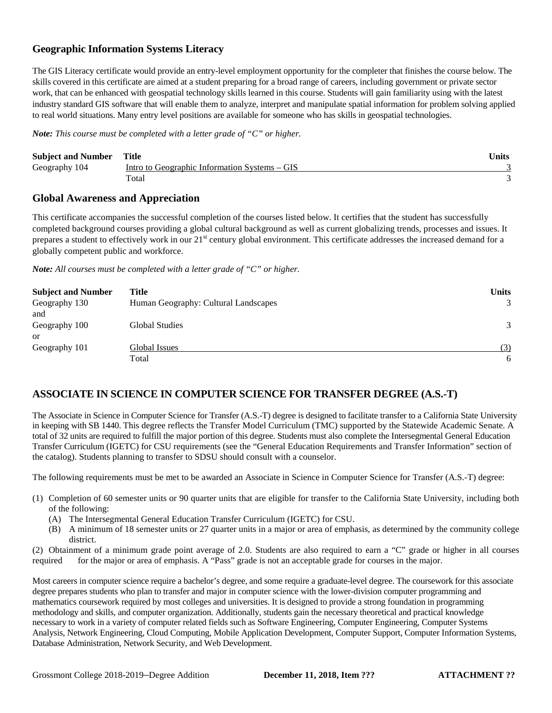# **Geographic Information Systems Literacy**

The GIS Literacy certificate would provide an entry-level employment opportunity for the completer that finishes the course below. The skills covered in this certificate are aimed at a student preparing for a broad range of careers, including government or private sector work, that can be enhanced with geospatial technology skills learned in this course. Students will gain familiarity using with the latest industry standard GIS software that will enable them to analyze, interpret and manipulate spatial information for problem solving applied to real world situations. Many entry level positions are available for someone who has skills in geospatial technologies.

*Note: This course must be completed with a letter grade of "C" or higher.*

| <b>Subject and Number Title</b> |                                               | Units |
|---------------------------------|-----------------------------------------------|-------|
| Geography 104                   | Intro to Geographic Information Systems – GIS |       |
|                                 | Total                                         |       |

## **Global Awareness and Appreciation**

This certificate accompanies the successful completion of the courses listed below. It certifies that the student has successfully completed background courses providing a global cultural background as well as current globalizing trends, processes and issues. It prepares a student to effectively work in our 21<sup>st</sup> century global environment. This certificate addresses the increased demand for a globally competent public and workforce.

*Note: All courses must be completed with a letter grade of "C" or higher.*

| <b>Subject and Number</b> | Title                                | <b>Units</b> |
|---------------------------|--------------------------------------|--------------|
| Geography 130             | Human Geography: Cultural Landscapes | 3            |
| and                       |                                      |              |
| Geography 100             | Global Studies                       | 3            |
| or                        |                                      |              |
| Geography 101             | Global Issues                        | (3)          |
|                           | Total                                | 6            |

# **ASSOCIATE IN SCIENCE IN COMPUTER SCIENCE FOR TRANSFER DEGREE (A.S.-T)**

The Associate in Science in Computer Science for Transfer (A.S.-T) degree is designed to facilitate transfer to a California State University in keeping with SB 1440. This degree reflects the Transfer Model Curriculum (TMC) supported by the Statewide Academic Senate. A total of 32 units are required to fulfill the major portion of this degree. Students must also complete the Intersegmental General Education Transfer Curriculum (IGETC) for CSU requirements (see the "General Education Requirements and Transfer Information" section of the catalog). Students planning to transfer to SDSU should consult with a counselor.

The following requirements must be met to be awarded an Associate in Science in Computer Science for Transfer (A.S.-T) degree:

- (1) Completion of 60 semester units or 90 quarter units that are eligible for transfer to the California State University, including both of the following:
	- (A) The Intersegmental General Education Transfer Curriculum (IGETC) for CSU.
	- (B) A minimum of 18 semester units or 27 quarter units in a major or area of emphasis, as determined by the community college district.

(2) Obtainment of a minimum grade point average of 2.0. Students are also required to earn a "C" grade or higher in all courses required for the major or area of emphasis. A "Pass" grade is not an acceptable grade for courses in the major.

Most careers in computer science require a bachelor's degree, and some require a graduate-level degree. The coursework for this associate degree prepares students who plan to transfer and major in computer science with the lower-division computer programming and mathematics coursework required by most colleges and universities. It is designed to provide a strong foundation in programming methodology and skills, and computer organization. Additionally, students gain the necessary theoretical and practical knowledge necessary to work in a variety of computer related fields such as Software Engineering, Computer Engineering, Computer Systems Analysis, Network Engineering, Cloud Computing, Mobile Application Development, Computer Support, Computer Information Systems, Database Administration, Network Security, and Web Development.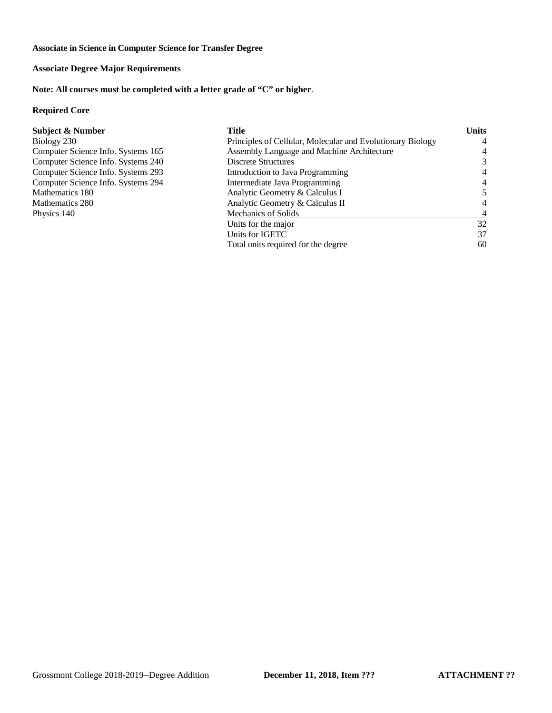**Associate in Science in Computer Science for Transfer Degree**

# **Associate Degree Major Requirements**

**Note: All courses must be completed with a letter grade of "C" or higher**.

### **Required Core**

| <b>Subject &amp; Number</b>        | Title                                                      | <b>Units</b> |
|------------------------------------|------------------------------------------------------------|--------------|
| Biology 230                        | Principles of Cellular, Molecular and Evolutionary Biology | 4            |
| Computer Science Info. Systems 165 | Assembly Language and Machine Architecture                 | 4            |
| Computer Science Info. Systems 240 | <b>Discrete Structures</b>                                 | 3            |
| Computer Science Info. Systems 293 | Introduction to Java Programming                           | 4            |
| Computer Science Info. Systems 294 | Intermediate Java Programming                              | 4            |
| Mathematics 180                    | Analytic Geometry & Calculus I                             |              |
| Mathematics 280                    | Analytic Geometry & Calculus II                            | 4            |
| Physics 140                        | Mechanics of Solids                                        |              |
|                                    | Units for the major                                        | 32           |
|                                    | Units for IGETC                                            | 37           |
|                                    | Total units required for the degree                        | 60           |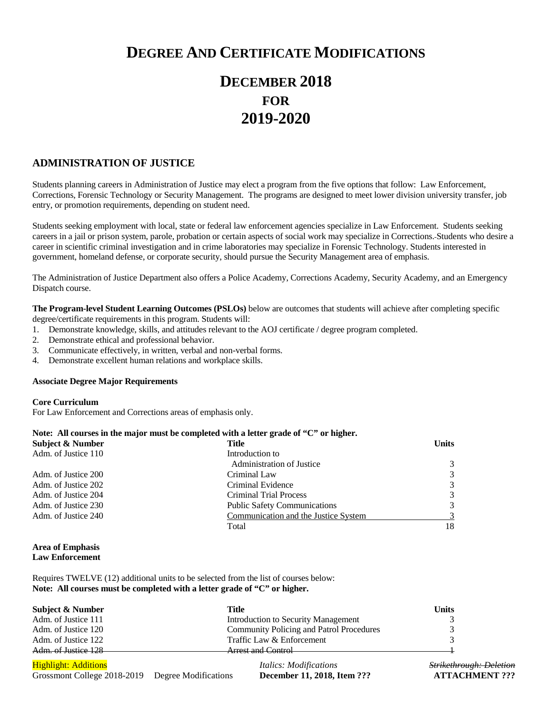# **DEGREE AND CERTIFICATE MODIFICATIONS**

# **DECEMBER 2018 FOR 2019-2020**

## **ADMINISTRATION OF JUSTICE**

Students planning careers in Administration of Justice may elect a program from the five options that follow: Law Enforcement, Corrections, Forensic Technology or Security Management. The programs are designed to meet lower division university transfer, job entry, or promotion requirements, depending on student need.

Students seeking employment with local, state or federal law enforcement agencies specialize in Law Enforcement. Students seeking careers in a jail or prison system, parole, probation or certain aspects of social work may specialize in Corrections. Students who desire a career in scientific criminal investigation and in crime laboratories may specialize in Forensic Technology. Students interested in government, homeland defense, or corporate security, should pursue the Security Management area of emphasis.

The Administration of Justice Department also offers a Police Academy, Corrections Academy, Security Academy, and an Emergency Dispatch course.

**The Program-level Student Learning Outcomes (PSLOs)** below are outcomes that students will achieve after completing specific

degree/certificate requirements in this program. Students will:

- 1. Demonstrate knowledge, skills, and attitudes relevant to the AOJ certificate / degree program completed.
- 2. Demonstrate ethical and professional behavior.
- 3. Communicate effectively, in written, verbal and non-verbal forms.
- 4. Demonstrate excellent human relations and workplace skills.

### **Associate Degree Major Requirements**

### **Core Curriculum**

For Law Enforcement and Corrections areas of emphasis only.

| Note: All courses in the major must be completed with a letter grade of " $C$ " or higher. |                                      |              |  |
|--------------------------------------------------------------------------------------------|--------------------------------------|--------------|--|
| Subject & Number                                                                           | Title                                | <b>Units</b> |  |
| Adm. of Justice 110                                                                        | Introduction to                      |              |  |
|                                                                                            | <b>Administration of Justice</b>     | 3            |  |
| Adm. of Justice 200                                                                        | Criminal Law                         | 3            |  |
| Adm. of Justice 202                                                                        | Criminal Evidence                    | 3            |  |
| Adm. of Justice 204                                                                        | Criminal Trial Process               | 3            |  |
| Adm. of Justice 230                                                                        | <b>Public Safety Communications</b>  | 3            |  |
| Adm. of Justice 240                                                                        | Communication and the Justice System |              |  |
|                                                                                            | Total                                | 18           |  |

### **Area of Emphasis Law Enforcement**

Requires TWELVE (12) additional units to be selected from the list of courses below: **Note: All courses must be completed with a letter grade of "C" or higher.** 

| Subject & Number    | Title                                           | <b>Units</b>  |
|---------------------|-------------------------------------------------|---------------|
| Adm. of Justice 111 | Introduction to Security Management             |               |
| Adm. of Justice 120 | <b>Community Policing and Patrol Procedures</b> | $\mathcal{R}$ |
| Adm. of Justice 122 | Traffic Law & Enforcement                       | $\mathcal{R}$ |
| Adm. of Justice 128 | Arract and Control                              |               |

Highlight: Additions *Italics: Modifications Strikethrough: Deletion* Grossmont College 2018-2019 Degree Modifications **December 11, 2018, Item ??? ATTACHMENT ???**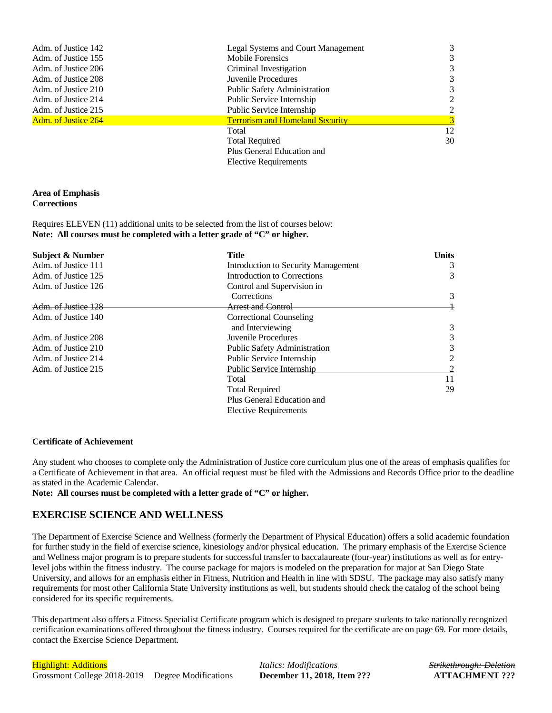| Adm. of Justice 142        | <b>Legal Systems and Court Management</b> | 3  |
|----------------------------|-------------------------------------------|----|
| Adm. of Justice 155        | <b>Mobile Forensics</b>                   | 3  |
| Adm. of Justice 206        | Criminal Investigation                    | 3  |
| Adm. of Justice 208        | Juvenile Procedures                       | 3  |
| Adm. of Justice 210        | <b>Public Safety Administration</b>       | 3  |
| Adm. of Justice 214        | Public Service Internship                 | 2  |
| Adm. of Justice 215        | Public Service Internship                 | 2  |
| <b>Adm. of Justice 264</b> | <b>Terrorism and Homeland Security</b>    | 3  |
|                            | Total                                     | 12 |
|                            | <b>Total Required</b>                     | 30 |
|                            | Plus General Education and                |    |
|                            | <b>Elective Requirements</b>              |    |

### **Area of Emphasis Corrections**

Requires ELEVEN (11) additional units to be selected from the list of courses below: **Note: All courses must be completed with a letter grade of "C" or higher.** 

| Subject & Number    | <b>Title</b>                        | <b>Units</b> |
|---------------------|-------------------------------------|--------------|
| Adm. of Justice 111 | Introduction to Security Management | 3            |
| Adm. of Justice 125 | Introduction to Corrections         | 3            |
| Adm. of Justice 126 | Control and Supervision in          |              |
|                     | Corrections                         | 3            |
| Adm. of Justice 128 | Arrest and Control                  |              |
| Adm. of Justice 140 | Correctional Counseling             |              |
|                     | and Interviewing                    | 3            |
| Adm. of Justice 208 | Juvenile Procedures                 | 3            |
| Adm. of Justice 210 | <b>Public Safety Administration</b> | 3            |
| Adm. of Justice 214 | Public Service Internship           | 2            |
| Adm. of Justice 215 | Public Service Internship           |              |
|                     | Total                               | 11           |
|                     | <b>Total Required</b>               | 29           |
|                     | Plus General Education and          |              |
|                     | <b>Elective Requirements</b>        |              |

### **Certificate of Achievement**

Any student who chooses to complete only the Administration of Justice core curriculum plus one of the areas of emphasis qualifies for a Certificate of Achievement in that area. An official request must be filed with the Admissions and Records Office prior to the deadline as stated in the Academic Calendar.

**Note: All courses must be completed with a letter grade of "C" or higher.** 

## **EXERCISE SCIENCE AND WELLNESS**

The Department of Exercise Science and Wellness (formerly the Department of Physical Education) offers a solid academic foundation for further study in the field of exercise science, kinesiology and/or physical education. The primary emphasis of the Exercise Science and Wellness major program is to prepare students for successful transfer to baccalaureate (four-year) institutions as well as for entrylevel jobs within the fitness industry. The course package for majors is modeled on the preparation for major at San Diego State University, and allows for an emphasis either in Fitness, Nutrition and Health in line with SDSU. The package may also satisfy many requirements for most other California State University institutions as well, but students should check the catalog of the school being considered for its specific requirements.

This department also offers a Fitness Specialist Certificate program which is designed to prepare students to take nationally recognized certification examinations offered throughout the fitness industry. Courses required for the certificate are on page 69. For more details, contact the Exercise Science Department.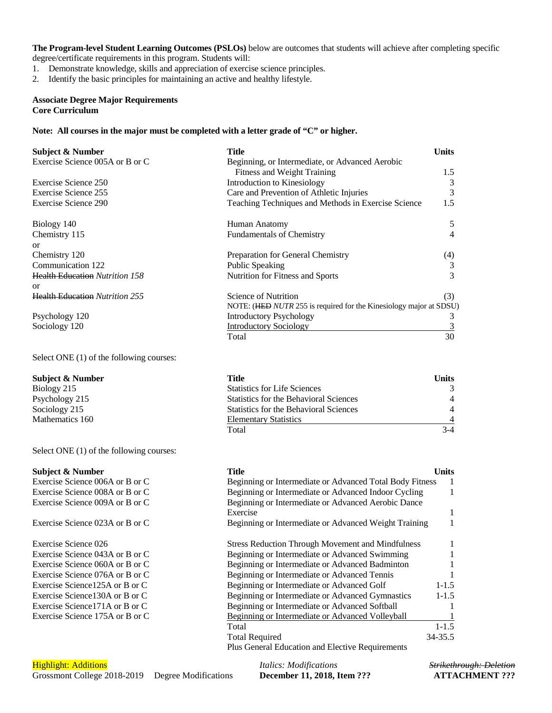**The Program-level Student Learning Outcomes (PSLOs)** below are outcomes that students will achieve after completing specific degree/certificate requirements in this program. Students will:

1. Demonstrate knowledge, skills and appreciation of exercise science principles.

2. Identify the basic principles for maintaining an active and healthy lifestyle.

### **Associate Degree Major Requirements Core Curriculum**

Select ONE (1) of the following courses:

Select ONE (1) of the following courses:

### **Note: All courses in the major must be completed with a letter grade of "C" or higher.**

| <b>Subject &amp; Number</b>           | <b>Title</b>                                                       | <b>Units</b> |
|---------------------------------------|--------------------------------------------------------------------|--------------|
| Exercise Science 005A or B or C       | Beginning, or Intermediate, or Advanced Aerobic                    |              |
|                                       | <b>Fitness and Weight Training</b>                                 | 1.5          |
| Exercise Science 250                  | <b>Introduction to Kinesiology</b>                                 | 3            |
| Exercise Science 255                  | Care and Prevention of Athletic Injuries                           | 3            |
| Exercise Science 290                  | Teaching Techniques and Methods in Exercise Science                | 1.5          |
| Biology 140                           | Human Anatomy                                                      | 5            |
| Chemistry 115                         | <b>Fundamentals of Chemistry</b>                                   | 4            |
| or                                    |                                                                    |              |
| Chemistry 120                         | Preparation for General Chemistry                                  | (4)          |
| Communication 122                     | <b>Public Speaking</b>                                             | 3            |
| <b>Health Education Nutrition 158</b> | Nutrition for Fitness and Sports                                   | 3            |
| or                                    |                                                                    |              |
| <b>Health Education Nutrition 255</b> | Science of Nutrition                                               | (3)          |
|                                       | NOTE: (HED NUTR 255 is required for the Kinesiology major at SDSU) |              |
| Psychology 120                        | <b>Introductory Psychology</b>                                     |              |
| Sociology 120                         | <b>Introductory Sociology</b>                                      |              |
|                                       | Total                                                              | 30           |

**Subject & Number Title Units** Biology 215 Statistics for Life Sciences 3 Psychology 215 Statistics for the Behavioral Sciences 4 Sociology 215 Statistics for the Behavioral Sciences 4 Mathematics 160 **Elementary Statistics** 4 Total 3-4

| <b>Subject &amp; Number</b>     | Title                                                    | Units     |
|---------------------------------|----------------------------------------------------------|-----------|
| Exercise Science 006A or B or C | Beginning or Intermediate or Advanced Total Body Fitness |           |
| Exercise Science 008A or B or C | Beginning or Intermediate or Advanced Indoor Cycling     |           |
| Exercise Science 009A or B or C | Beginning or Intermediate or Advanced Aerobic Dance      |           |
|                                 | Exercise                                                 |           |
| Exercise Science 023A or B or C | Beginning or Intermediate or Advanced Weight Training    |           |
| Exercise Science 026            | <b>Stress Reduction Through Movement and Mindfulness</b> |           |
| Exercise Science 043A or B or C | Beginning or Intermediate or Advanced Swimming           |           |
| Exercise Science 060A or B or C | Beginning or Intermediate or Advanced Badminton          |           |
| Exercise Science 076A or B or C | Beginning or Intermediate or Advanced Tennis             |           |
| Exercise Science 125A or B or C | Beginning or Intermediate or Advanced Golf               | $1 - 1.5$ |
| Exercise Science 130A or B or C | Beginning or Intermediate or Advanced Gymnastics         | $1 - 1.5$ |
| Exercise Science 171A or B or C | Beginning or Intermediate or Advanced Softball           |           |
| Exercise Science 175A or B or C | Beginning or Intermediate or Advanced Volleyball         |           |
|                                 | Total                                                    | $1 - 1.5$ |
|                                 | <b>Total Required</b>                                    | 34-35.5   |
|                                 | Plus General Education and Elective Requirements         |           |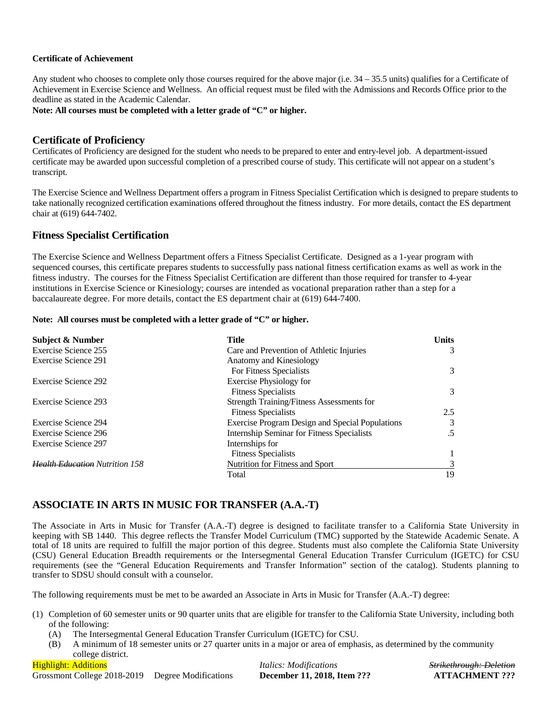### **Certificate of Achievement**

Any student who chooses to complete only those courses required for the above major (i.e.  $34 - 35.5$  units) qualifies for a Certificate of Achievement in Exercise Science and Wellness. An official request must be filed with the Admissions and Records Office prior to the deadline as stated in the Academic Calendar.

**Note: All courses must be completed with a letter grade of "C" or higher.**

### **Certificate of Proficiency**

Certificates of Proficiency are designed for the student who needs to be prepared to enter and entry-level job. A department-issued certificate may be awarded upon successful completion of a prescribed course of study. This certificate will not appear on a student's transcript.

The Exercise Science and Wellness Department offers a program in Fitness Specialist Certification which is designed to prepare students to take nationally recognized certification examinations offered throughout the fitness industry. For more details, contact the ES department chair at (619) 644-7402.

### **Fitness Specialist Certification**

The Exercise Science and Wellness Department offers a Fitness Specialist Certificate. Designed as a 1-year program with sequenced courses, this certificate prepares students to successfully pass national fitness certification exams as well as work in the fitness industry. The courses for the Fitness Specialist Certification are different than those required for transfer to 4-year institutions in Exercise Science or Kinesiology; courses are intended as vocational preparation rather than a step for a baccalaureate degree. For more details, contact the ES department chair at (619) 644-7400.

### **Note: All courses must be completed with a letter grade of "C" or higher.**

| <b>Subject &amp; Number</b>           | Title                                                  | <b>Units</b> |
|---------------------------------------|--------------------------------------------------------|--------------|
| Exercise Science 255                  | Care and Prevention of Athletic Injuries               | 3            |
| Exercise Science 291                  | Anatomy and Kinesiology                                |              |
|                                       | For Fitness Specialists                                | 3            |
| Exercise Science 292                  | <b>Exercise Physiology for</b>                         |              |
|                                       | <b>Fitness Specialists</b>                             | 3            |
| Exercise Science 293                  | Strength Training/Fitness Assessments for              |              |
|                                       | <b>Fitness Specialists</b>                             | 2.5          |
| Exercise Science 294                  | <b>Exercise Program Design and Special Populations</b> | 3            |
| Exercise Science 296                  | <b>Internship Seminar for Fitness Specialists</b>      | .5           |
| Exercise Science 297                  | Internships for                                        |              |
|                                       | <b>Fitness Specialists</b>                             |              |
| <b>Health Education</b> Nutrition 158 | Nutrition for Fitness and Sport                        | 3            |
|                                       | Total                                                  | 19           |

# **ASSOCIATE IN ARTS IN MUSIC FOR TRANSFER (A.A.-T)**

The Associate in Arts in Music for Transfer (A.A.-T) degree is designed to facilitate transfer to a California State University in keeping with SB 1440. This degree reflects the Transfer Model Curriculum (TMC) supported by the Statewide Academic Senate. A total of 18 units are required to fulfill the major portion of this degree. Students must also complete the California State University (CSU) General Education Breadth requirements or the Intersegmental General Education Transfer Curriculum (IGETC) for CSU requirements (see the "General Education Requirements and Transfer Information" section of the catalog). Students planning to transfer to SDSU should consult with a counselor.

The following requirements must be met to be awarded an Associate in Arts in Music for Transfer (A.A.-T) degree:

- (1) Completion of 60 semester units or 90 quarter units that are eligible for transfer to the California State University, including both of the following:
	- (A) The Intersegmental General Education Transfer Curriculum (IGETC) for CSU.
	- (B) A minimum of 18 semester units or 27 quarter units in a major or area of emphasis, as determined by the community college district.

Highlight: Additions *Italics: Modifications Strikethrough: Deletion* Grossmont College 2018-2019 Degree Modifications **December 11, 2018, Item ??? ATTACHMENT ???**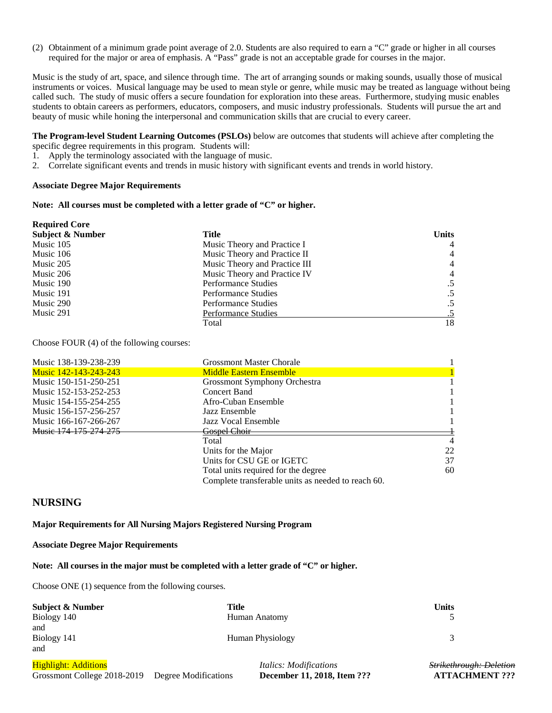(2) Obtainment of a minimum grade point average of 2.0. Students are also required to earn a "C" grade or higher in all courses required for the major or area of emphasis. A "Pass" grade is not an acceptable grade for courses in the major.

Music is the study of art, space, and silence through time. The art of arranging sounds or making sounds, usually those of musical instruments or voices. Musical language may be used to mean style or genre, while music may be treated as language without being called such. The study of music offers a secure foundation for exploration into these areas. Furthermore, studying music enables students to obtain careers as performers, educators, composers, and music industry professionals. Students will pursue the art and beauty of music while honing the interpersonal and communication skills that are crucial to every career.

**The Program-level Student Learning Outcomes (PSLOs)** below are outcomes that students will achieve after completing the specific degree requirements in this program. Students will:

- 1. Apply the terminology associated with the language of music.
- 2. Correlate significant events and trends in music history with significant events and trends in world history.

#### **Associate Degree Major Requirements**

#### **Note: All courses must be completed with a letter grade of "C" or higher.**

| <b>Required Core</b>        |                               |                |
|-----------------------------|-------------------------------|----------------|
| <b>Subject &amp; Number</b> | Title                         | <b>Units</b>   |
| Music 105                   | Music Theory and Practice I   | $\overline{4}$ |
| Music 106                   | Music Theory and Practice II  | $\overline{4}$ |
| Music 205                   | Music Theory and Practice III | $\overline{4}$ |
| Music 206                   | Music Theory and Practice IV  | $\overline{4}$ |
| Music 190                   | <b>Performance Studies</b>    |                |
| Music 191                   | Performance Studies           | $.5\,$         |
| Music 290                   | Performance Studies           |                |
| Music 291                   | Performance Studies           |                |
|                             | Total                         | 18             |

Choose FOUR (4) of the following courses:

| Music 138-139-238-239 | <b>Grossmont Master Chorale</b>                    |                |
|-----------------------|----------------------------------------------------|----------------|
| Music 142-143-243-243 | <b>Middle Eastern Ensemble</b>                     |                |
| Music 150-151-250-251 | Grossmont Symphony Orchestra                       |                |
| Music 152-153-252-253 | Concert Band                                       |                |
| Music 154-155-254-255 | Afro-Cuban Ensemble                                |                |
| Music 156-157-256-257 | Jazz Ensemble                                      |                |
| Music 166-167-266-267 | Jazz Vocal Ensemble                                |                |
| Music 174 175 274 275 | Gospel Choir                                       |                |
|                       | Total                                              | $\overline{4}$ |
|                       | Units for the Major                                | 22             |
|                       | Units for CSU GE or IGETC                          | 37             |
|                       | Total units required for the degree                | 60             |
|                       | Complete transferable units as needed to reach 60. |                |

### **NURSING**

#### **Major Requirements for All Nursing Majors Registered Nursing Program**

#### **Associate Degree Major Requirements**

**Note: All courses in the major must be completed with a letter grade of "C" or higher.** 

Choose ONE (1) sequence from the following courses.

| Title            | Units |
|------------------|-------|
| Human Anatomy    |       |
|                  |       |
| Human Physiology |       |
|                  |       |
|                  |       |

Highlight: Additions *Italics: Modifications Strikethrough: Deletion* Grossmont College 2018-2019 Degree Modifications **December 11, 2018, Item ??? ATTACHMENT ???**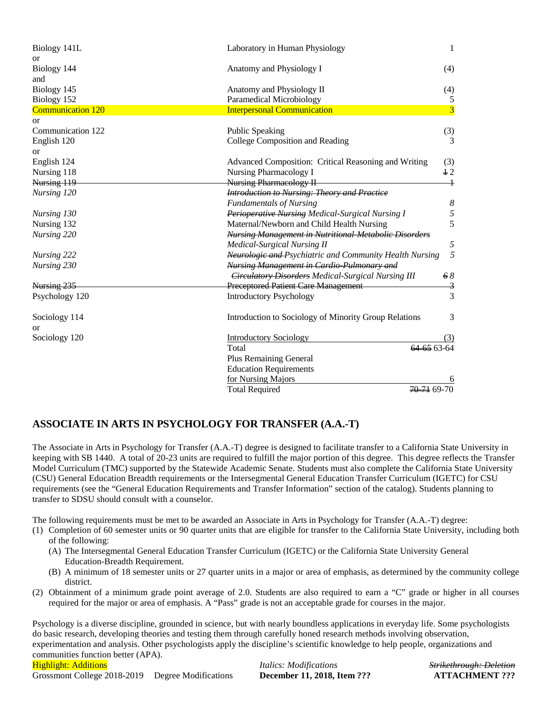| Biology 141L             | Laboratory in Human Physiology                               | 1                                 |
|--------------------------|--------------------------------------------------------------|-----------------------------------|
| or<br>Biology 144        | Anatomy and Physiology I                                     | (4)                               |
| and                      |                                                              |                                   |
| Biology 145              | Anatomy and Physiology II                                    | (4)                               |
| Biology 152              | Paramedical Microbiology                                     | 5                                 |
| <b>Communication 120</b> | <b>Interpersonal Communication</b>                           | $\overline{\mathbf{3}}$           |
| <b>or</b>                |                                                              |                                   |
| Communication 122        | <b>Public Speaking</b>                                       | (3)                               |
| English 120              | College Composition and Reading                              | 3                                 |
| or                       |                                                              |                                   |
| English 124              | Advanced Composition: Critical Reasoning and Writing         | (3)                               |
| Nursing 118              | <b>Nursing Pharmacology I</b>                                | 12                                |
| Nursing 119              | <b>Nursing Pharmacology II</b>                               | $\hspace{0.1mm} 1 \hspace{0.1mm}$ |
| Nursing 120              | <b>Introduction to Nursing: Theory and Practice</b>          |                                   |
|                          | <b>Fundamentals of Nursing</b>                               | $\boldsymbol{8}$                  |
| Nursing 130              | Perioperative Nursing Medical-Surgical Nursing I             | 5                                 |
| Nursing 132              | Maternal/Newborn and Child Health Nursing                    | 5                                 |
| Nursing 220              | <b>Nursing Management in Nutritional Metabolic Disorders</b> |                                   |
|                          | <b>Medical-Surgical Nursing II</b>                           | 5                                 |
| Nursing 222              | Neurologic and Psychiatric and Community Health Nursing      | 5                                 |
| Nursing 230              | <b>Nursing Management in Cardio-Pulmonary and</b>            |                                   |
|                          | <b>Circulatory Disorders Medical-Surgical Nursing III</b>    | 68                                |
| Nursing 235              | <b>Preceptored Patient Care Management</b>                   | 3                                 |
| Psychology 120           | <b>Introductory Psychology</b>                               | 3                                 |
| Sociology 114            | Introduction to Sociology of Minority Group Relations        | 3                                 |
| or                       |                                                              |                                   |
| Sociology 120            | <b>Introductory Sociology</b>                                | (3)                               |
|                          | Total                                                        | 64 65 63 64                       |
|                          | <b>Plus Remaining General</b>                                |                                   |
|                          | <b>Education Requirements</b>                                |                                   |
|                          | for Nursing Majors                                           |                                   |
|                          | <b>Total Required</b>                                        | <del>70-71</del> 69-70            |

# **ASSOCIATE IN ARTS IN PSYCHOLOGY FOR TRANSFER (A.A.-T)**

The Associate in Arts in Psychology for Transfer (A.A.-T) degree is designed to facilitate transfer to a California State University in keeping with SB 1440. A total of 20-23 units are required to fulfill the major portion of this degree. This degree reflects the Transfer Model Curriculum (TMC) supported by the Statewide Academic Senate. Students must also complete the California State University (CSU) General Education Breadth requirements or the Intersegmental General Education Transfer Curriculum (IGETC) for CSU requirements (see the "General Education Requirements and Transfer Information" section of the catalog). Students planning to transfer to SDSU should consult with a counselor.

The following requirements must be met to be awarded an Associate in Arts in Psychology for Transfer (A.A.-T) degree:

- (1) Completion of 60 semester units or 90 quarter units that are eligible for transfer to the California State University, including both of the following:
	- (A) The Intersegmental General Education Transfer Curriculum (IGETC) or the California State University General Education-Breadth Requirement.
	- (B) A minimum of 18 semester units or 27 quarter units in a major or area of emphasis, as determined by the community college district.
- (2) Obtainment of a minimum grade point average of 2.0. Students are also required to earn a "C" grade or higher in all courses required for the major or area of emphasis. A "Pass" grade is not an acceptable grade for courses in the major.

Highlight: Additions *Italics: Modifications Strikethrough: Deletion* Psychology is a diverse discipline, grounded in science, but with nearly boundless applications in everyday life. Some psychologists do basic research, developing theories and testing them through carefully honed research methods involving observation, experimentation and analysis. Other psychologists apply the discipline's scientific knowledge to help people, organizations and communities function better (APA).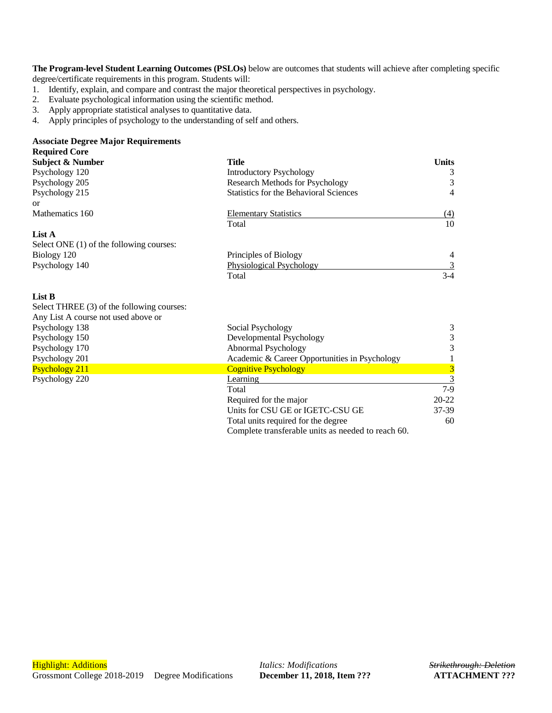**The Program-level Student Learning Outcomes (PSLOs)** below are outcomes that students will achieve after completing specific degree/certificate requirements in this program. Students will:

- 1. Identify, explain, and compare and contrast the major theoretical perspectives in psychology.
- 2. Evaluate psychological information using the scientific method.<br>3. Apply appropriate statistical analyses to quantitative data.
- Apply appropriate statistical analyses to quantitative data.
- 4. Apply principles of psychology to the understanding of self and others.

### **Associate Degree Major Requirements Required Core**

| Subject & Number                         | <b>Title</b>                                  | <b>Units</b>   |
|------------------------------------------|-----------------------------------------------|----------------|
| Psychology 120                           | Introductory Psychology                       | 3              |
| Psychology 205                           | <b>Research Methods for Psychology</b>        | 3              |
| Psychology 215                           | <b>Statistics for the Behavioral Sciences</b> | $\overline{4}$ |
| or                                       |                                               |                |
| Mathematics 160                          | <b>Elementary Statistics</b>                  | (4)            |
|                                          | Total                                         | 10             |
| List A                                   |                                               |                |
| Select ONE (1) of the following courses: |                                               |                |
| Biology 120                              | Principles of Biology                         | $\overline{4}$ |
| Psychology 140                           | Physiological Psychology                      |                |
|                                          | Total                                         | $3-4$          |

### **List B**

| Select THREE (3) of the following courses: |                                               |           |
|--------------------------------------------|-----------------------------------------------|-----------|
| Any List A course not used above or        |                                               |           |
| Psychology 138                             | Social Psychology                             | 3         |
| Psychology 150                             | Developmental Psychology                      | 3         |
| Psychology 170                             | Abnormal Psychology                           | 3         |
| Psychology 201                             | Academic & Career Opportunities in Psychology |           |
| <b>Psychology 211</b>                      | <b>Cognitive Psychology</b>                   | 3         |
| Psychology 220                             | <b>Learning</b>                               |           |
|                                            | Total                                         | $7-9$     |
|                                            | Required for the major                        | $20 - 22$ |
|                                            | Units for CSU GE or IGETC-CSU GE              | $37-39$   |
|                                            | Total units required for the degree           | 60        |

Total units required for the degree

Complete transferable units as needed to reach 60.